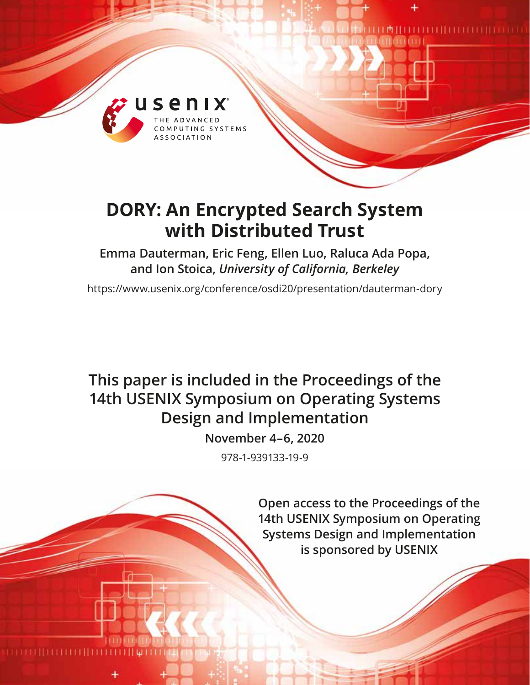

# **DORY: An Encrypted Search System with Distributed Trust**

## **Emma Dauterman, Eric Feng, Ellen Luo, Raluca Ada Popa, and Ion Stoica,** *University of California, Berkeley*

https://www.usenix.org/conference/osdi20/presentation/dauterman-dory

# **This paper is included in the Proceedings of the 14th USENIX Symposium on Operating Systems Design and Implementation**

**November 4–6, 2020**

978-1-939133-19-9

**Open access to the Proceedings of the 14th USENIX Symposium on Operating Systems Design and Implementation is sponsored by USENIX**

**THEFFILM CONTRACTOR**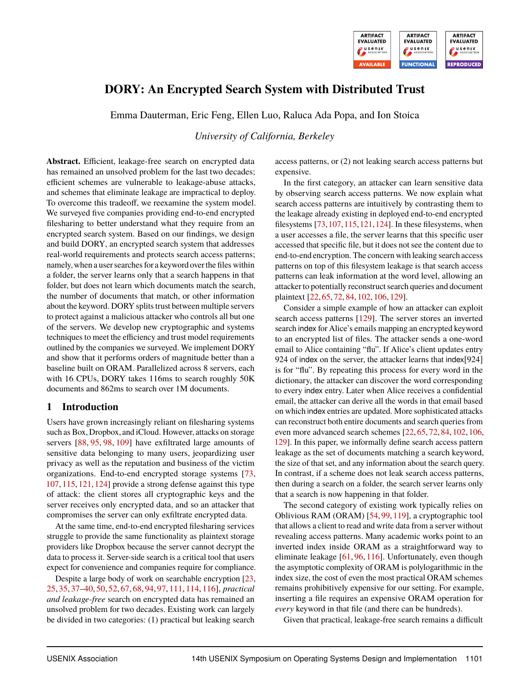

## **DORY: An Encrypted Search System with Distributed Trust**

Emma Dauterman, Eric Feng, Ellen Luo, Raluca Ada Popa, and Ion Stoica

*University of California, Berkeley*

**Abstract.** Efficient, leakage-free search on encrypted data has remained an unsolved problem for the last two decades; efficient schemes are vulnerable to leakage-abuse attacks, and schemes that eliminate leakage are impractical to deploy. To overcome this tradeoff, we reexamine the system model. We surveyed five companies providing end-to-end encrypted filesharing to better understand what they require from an encrypted search system. Based on our findings, we design and build DORY, an encrypted search system that addresses real-world requirements and protects search access patterns; namely, when a user searches for a keyword over the files within a folder, the server learns only that a search happens in that folder, but does not learn which documents match the search, the number of documents that match, or other information about the keyword. DORY splits trust between multiple servers to protect against a malicious attacker who controls all but one of the servers. We develop new cryptographic and systems techniques to meet the efficiency and trust model requirements outlined by the companies we surveyed. We implement DORY and show that it performs orders of magnitude better than a baseline built on ORAM. Parallelized across 8 servers, each with 16 CPUs, DORY takes 116ms to search roughly 50K documents and 862ms to search over 1M documents.

## **1 Introduction**

Users have grown increasingly reliant on filesharing systems such as Box, Dropbox, and iCloud. However, attacks on storage servers [\[88,](#page-17-0) [95,](#page-17-1) [98,](#page-17-2) [109\]](#page-17-3) have exfiltrated large amounts of sensitive data belonging to many users, jeopardizing user privacy as well as the reputation and business of the victim organizations. End-to-end encrypted storage systems [\[73,](#page-16-0) [107,](#page-17-4) [115,](#page-17-5) [121,](#page-18-0) [124\]](#page-18-1) provide a strong defense against this type of attack: the client stores all cryptographic keys and the server receives only encrypted data, and so an attacker that compromises the server can only exfiltrate encrypted data.

At the same time, end-to-end encrypted filesharing services struggle to provide the same functionality as plaintext storage providers like Dropbox because the server cannot decrypt the data to process it. Server-side search is a critical tool that users expect for convenience and companies require for compliance.

Despite a large body of work on searchable encryption [\[23,](#page-15-0) [25,](#page-15-1) [35,](#page-15-2) [37](#page-15-3)[–40,](#page-15-4) [50,](#page-16-1) [52,](#page-16-2) [67,](#page-16-3) [68,](#page-16-4) [94,](#page-17-6) [97,](#page-17-7) [111,](#page-17-8) [114,](#page-17-9) [116\]](#page-17-10), *practical and leakage-free* search on encrypted data has remained an unsolved problem for two decades. Existing work can largely be divided in two categories: (1) practical but leaking search

access patterns, or (2) not leaking search access patterns but expensive.

In the first category, an attacker can learn sensitive data by observing search access patterns. We now explain what search access patterns are intuitively by contrasting them to the leakage already existing in deployed end-to-end encrypted filesystems [\[73,](#page-16-0)[107,](#page-17-4)[115,](#page-17-5)[121,](#page-18-0)[124\]](#page-18-1). In these filesystems, when a user accesses a file, the server learns that this specific user accessed that specific file, but it does not see the content due to end-to-end encryption. The concern with leaking search access patterns on top of this filesystem leakage is that search access patterns can leak information at the word level, allowing an attacker to potentially reconstruct search queries and document plaintext [\[22,](#page-15-5) [65,](#page-16-5) [72,](#page-16-6) [84,](#page-17-11) [102,](#page-17-12) [106,](#page-17-13) [129\]](#page-18-2).

Consider a simple example of how an attacker can exploit search access patterns [\[129\]](#page-18-2). The server stores an inverted search index for Alice's emails mapping an encrypted keyword to an encrypted list of files. The attacker sends a one-word email to Alice containing "flu". If Alice's client updates entry 924 of index on the server, the attacker learns that index[924] is for "flu". By repeating this process for every word in the dictionary, the attacker can discover the word corresponding to every index entry. Later when Alice receives a confidential email, the attacker can derive all the words in that email based on which index entries are updated. More sophisticated attacks can reconstruct both entire documents and search queries from even more advanced search schemes [\[22,](#page-15-5) [65,](#page-16-5) [72,](#page-16-6) [84,](#page-17-11) [102,](#page-17-12) [106,](#page-17-13) [129\]](#page-18-2). In this paper, we informally define search access pattern leakage as the set of documents matching a search keyword, the size of that set, and any information about the search query. In contrast, if a scheme does not leak search access patterns, then during a search on a folder, the search server learns only that a search is now happening in that folder.

The second category of existing work typically relies on Oblivious RAM (ORAM) [\[54,](#page-16-7) [99,](#page-17-14) [119\]](#page-17-15), a cryptographic tool that allows a client to read and write data from a server without revealing access patterns. Many academic works point to an inverted index inside ORAM as a straightforward way to eliminate leakage [\[61,](#page-16-8) [96,](#page-17-16) [116\]](#page-17-10). Unfortunately, even though the asymptotic complexity of ORAM is polylogarithmic in the index size, the cost of even the most practical ORAM schemes remains prohibitively expensive for our setting. For example, inserting a file requires an expensive ORAM operation for *every* keyword in that file (and there can be hundreds).

Given that practical, leakage-free search remains a difficult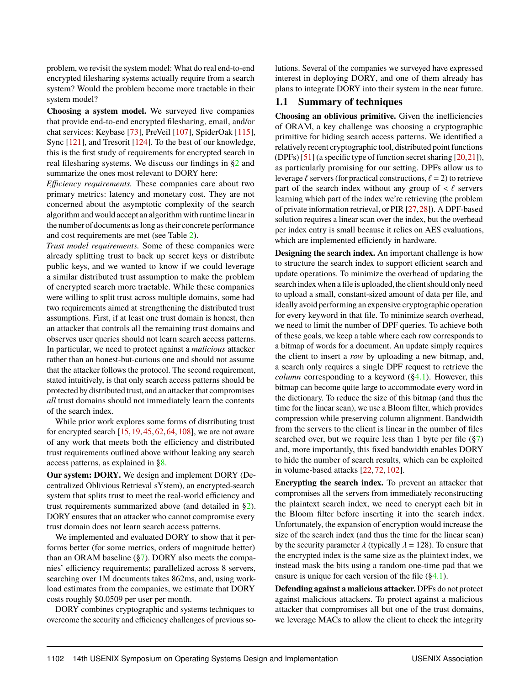problem, we revisit the system model: What do real end-to-end encrypted filesharing systems actually require from a search system? Would the problem become more tractable in their system model?

**Choosing a system model.** We surveyed five companies that provide end-to-end encrypted filesharing, email, and/or chat services: Keybase [\[73\]](#page-16-0), PreVeil [\[107\]](#page-17-4), SpiderOak [\[115\]](#page-17-5), Sync [\[121\]](#page-18-0), and Tresorit [\[124\]](#page-18-1). To the best of our knowledge, this is the first study of requirements for encrypted search in real filesharing systems. We discuss our findings in [§2](#page-3-0) and summarize the ones most relevant to DORY here:

*Efficiency requirements.* These companies care about two primary metrics: latency and monetary cost. They are not concerned about the asymptotic complexity of the search algorithm and would accept an algorithm with runtime linear in the number of documents as long as their concrete performance and cost requirements are met (see Table [2\)](#page-3-1).

*Trust model requirements.* Some of these companies were already splitting trust to back up secret keys or distribute public keys, and we wanted to know if we could leverage a similar distributed trust assumption to make the problem of encrypted search more tractable. While these companies were willing to split trust across multiple domains, some had two requirements aimed at strengthening the distributed trust assumptions. First, if at least one trust domain is honest, then an attacker that controls all the remaining trust domains and observes user queries should not learn search access patterns. In particular, we need to protect against a *malicious* attacker rather than an honest-but-curious one and should not assume that the attacker follows the protocol. The second requirement, stated intuitively, is that only search access patterns should be protected by distributed trust, and an attacker that compromises *all* trust domains should not immediately learn the contents of the search index.

While prior work explores some forms of distributing trust for encrypted search [\[15,](#page-15-6)[19,](#page-15-7)[45,](#page-16-9)[62,](#page-16-10)[64,](#page-16-11)[108\]](#page-17-17), we are not aware of any work that meets both the efficiency and distributed trust requirements outlined above without leaking any search access patterns, as explained in [§8.](#page-14-0)

**Our system: DORY.** We design and implement DORY (Decentralized Oblivious Retrieval sYstem), an encrypted-search system that splits trust to meet the real-world efficiency and trust requirements summarized above (and detailed in [§2\)](#page-3-0). DORY ensures that an attacker who cannot compromise every trust domain does not learn search access patterns.

We implemented and evaluated DORY to show that it performs better (for some metrics, orders of magnitude better) than an ORAM baseline  $(\frac{8}{7})$ . DORY also meets the companies' efficiency requirements; parallelized across 8 servers, searching over 1M documents takes 862ms, and, using workload estimates from the companies, we estimate that DORY costs roughly \$0.0509 per user per month.

DORY combines cryptographic and systems techniques to overcome the security and efficiency challenges of previous solutions. Several of the companies we surveyed have expressed interest in deploying DORY, and one of them already has plans to integrate DORY into their system in the near future.

## **1.1 Summary of techniques**

**Choosing an oblivious primitive.** Given the inefficiencies of ORAM, a key challenge was choosing a cryptographic primitive for hiding search access patterns. We identified a relatively recent cryptographic tool, distributed point functions (DPFs) [\[51\]](#page-16-12) (a specific type of function secret sharing [\[20,](#page-15-8)[21\]](#page-15-9)), as particularly promising for our setting. DPFs allow us to leverage  $\ell$  servers (for practical constructions,  $\ell = 2$ ) to retrieve part of the search index without any group of  $\langle \ell \rangle$  servers learning which part of the index we're retrieving (the problem of private information retrieval, or PIR [\[27,](#page-15-10)[28\]](#page-15-11)). A DPF-based solution requires a linear scan over the index, but the overhead per index entry is small because it relies on AES evaluations, which are implemented efficiently in hardware.

**Designing the search index.** An important challenge is how to structure the search index to support efficient search and update operations. To minimize the overhead of updating the search index when a file is uploaded, the client should only need to upload a small, constant-sized amount of data per file, and ideally avoid performing an expensive cryptographic operation for every keyword in that file. To minimize search overhead, we need to limit the number of DPF queries. To achieve both of these goals, we keep a table where each row corresponds to a bitmap of words for a document. An update simply requires the client to insert a *row* by uploading a new bitmap, and, a search only requires a single DPF request to retrieve the *column* corresponding to a keyword  $(\S 4.1)$ . However, this bitmap can become quite large to accommodate every word in the dictionary. To reduce the size of this bitmap (and thus the time for the linear scan), we use a Bloom filter, which provides compression while preserving column alignment. Bandwidth from the servers to the client is linear in the number of files searched over, but we require less than 1 byte per file  $(\frac{87}{8})$ and, more importantly, this fixed bandwidth enables DORY to hide the number of search results, which can be exploited in volume-based attacks [\[22,](#page-15-5) [72,](#page-16-6) [102\]](#page-17-12).

**Encrypting the search index.** To prevent an attacker that compromises all the servers from immediately reconstructing the plaintext search index, we need to encrypt each bit in the Bloom filter before inserting it into the search index. Unfortunately, the expansion of encryption would increase the size of the search index (and thus the time for the linear scan) by the security parameter  $\lambda$  (typically  $\lambda = 128$ ). To ensure that the encrypted index is the same size as the plaintext index, we instead mask the bits using a random one-time pad that we ensure is unique for each version of the file  $(\S 4.1)$ .

**Defending against a malicious attacker.** DPFs do not protect against malicious attackers. To protect against a malicious attacker that compromises all but one of the trust domains, we leverage MACs to allow the client to check the integrity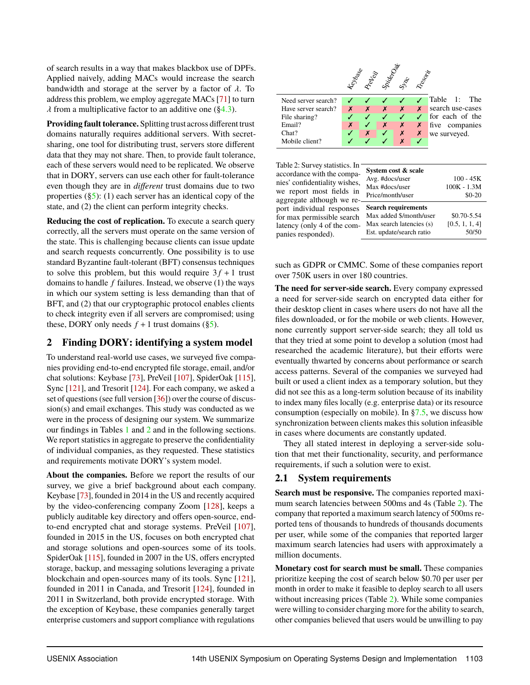of search results in a way that makes blackbox use of DPFs. Applied naively, adding MACs would increase the search bandwidth and storage at the server by a factor of  $\lambda$ . To address this problem, we employ aggregate MACs [\[71\]](#page-16-13) to turn  $\lambda$  from a multiplicative factor to an additive one ([§4.3\)](#page-7-1).

**Providing fault tolerance.** Splitting trust across different trust domains naturally requires additional servers. With secretsharing, one tool for distributing trust, servers store different data that they may not share. Then, to provide fault tolerance, each of these servers would need to be replicated. We observe that in DORY, servers can use each other for fault-tolerance even though they are in *different* trust domains due to two properties  $(\S5)$ : (1) each server has an identical copy of the state, and (2) the client can perform integrity checks.

**Reducing the cost of replication.** To execute a search query correctly, all the servers must operate on the same version of the state. This is challenging because clients can issue update and search requests concurrently. One possibility is to use standard Byzantine fault-tolerant (BFT) consensus techniques to solve this problem, but this would require  $3f + 1$  trust domains to handle *f* failures. Instead, we observe (1) the ways in which our system setting is less demanding than that of BFT, and  $(2)$  that our cryptographic protocol enables clients to check integrity even if all servers are compromised; using these, DORY only needs  $f + 1$  trust domains ([§5\)](#page-9-0).

## <span id="page-3-0"></span>**2 Finding DORY: identifying a system model**

To understand real-world use cases, we surveyed five companies providing end-to-end encrypted file storage, email, and/or chat solutions: Keybase [\[73\]](#page-16-0), PreVeil [\[107\]](#page-17-4), SpiderOak [\[115\]](#page-17-5), Sync [\[121\]](#page-18-0), and Tresorit [\[124\]](#page-18-1). For each company, we asked a set of questions (see full version [\[36\]](#page-15-12)) over the course of discussion(s) and email exchanges. This study was conducted as we were in the process of designing our system. We summarize our findings in Tables [1](#page-3-2) and [2](#page-3-1) and in the following sections. We report statistics in aggregate to preserve the confidentiality of individual companies, as they requested. These statistics and requirements motivate DORY's system model.

**About the companies.** Before we report the results of our survey, we give a brief background about each company. Keybase [\[73\]](#page-16-0), founded in 2014 in the US and recently acquired by the video-conferencing company Zoom [\[128\]](#page-18-3), keeps a publicly auditable key directory and offers open-source, endto-end encrypted chat and storage systems. PreVeil [\[107\]](#page-17-4), founded in 2015 in the US, focuses on both encrypted chat and storage solutions and open-sources some of its tools. SpiderOak [\[115\]](#page-17-5), founded in 2007 in the US, offers encrypted storage, backup, and messaging solutions leveraging a private blockchain and open-sources many of its tools. Sync [\[121\]](#page-18-0), founded in 2011 in Canada, and Tresorit [\[124\]](#page-18-1), founded in 2011 in Switzerland, both provide encrypted storage. With the exception of Keybase, these companies generally target enterprise customers and support compliance with regulations

<span id="page-3-2"></span>

<span id="page-3-1"></span>Table 2: Survey statistics. I accordance with the comp nies' confidentiality wishe we report most fields i aggregate although we re port individual response for max permissible search latency (only 4 of the companies responded).

| 'n<br>a-                | System cost & scale        |                |
|-------------------------|----------------------------|----------------|
| s,                      | Avg. #docs/user            | $100 - 45K$    |
|                         | Max #docs/user             | 100K - 1.3M    |
| $\overline{\mathbf{n}}$ | Price/month/user           | $$0-20$        |
| e                       |                            |                |
| .<br>S                  | <b>Search requirements</b> |                |
| ٠h                      | Max added \$/month/user    | \$0.70-5.54    |
| n-                      | Max search latencies (s)   | [0.5, 1, 1, 4] |
|                         | Est. update/search ratio   | 50/50          |

such as GDPR or CMMC. Some of these companies report over 750K users in over 180 countries.

**The need for server-side search.** Every company expressed a need for server-side search on encrypted data either for their desktop client in cases where users do not have all the files downloaded, or for the mobile or web clients. However, none currently support server-side search; they all told us that they tried at some point to develop a solution (most had researched the academic literature), but their efforts were eventually thwarted by concerns about performance or search access patterns. Several of the companies we surveyed had built or used a client index as a temporary solution, but they did not see this as a long-term solution because of its inability to index many files locally (e.g. enterprise data) or its resource consumption (especially on mobile). In  $\S7.5$ , we discuss how synchronization between clients makes this solution infeasible in cases where documents are constantly updated.

They all stated interest in deploying a server-side solution that met their functionality, security, and performance requirements, if such a solution were to exist.

## <span id="page-3-3"></span>**2.1 System requirements**

**Search must be responsive.** The companies reported maximum search latencies between 500ms and 4s (Table [2\)](#page-3-1). The company that reported a maximum search latency of 500ms reported tens of thousands to hundreds of thousands documents per user, while some of the companies that reported larger maximum search latencies had users with approximately a million documents.

**Monetary cost for search must be small.** These companies prioritize keeping the cost of search below \$0.70 per user per month in order to make it feasible to deploy search to all users without increasing prices (Table [2\)](#page-3-1). While some companies were willing to consider charging more for the ability to search, other companies believed that users would be unwilling to pay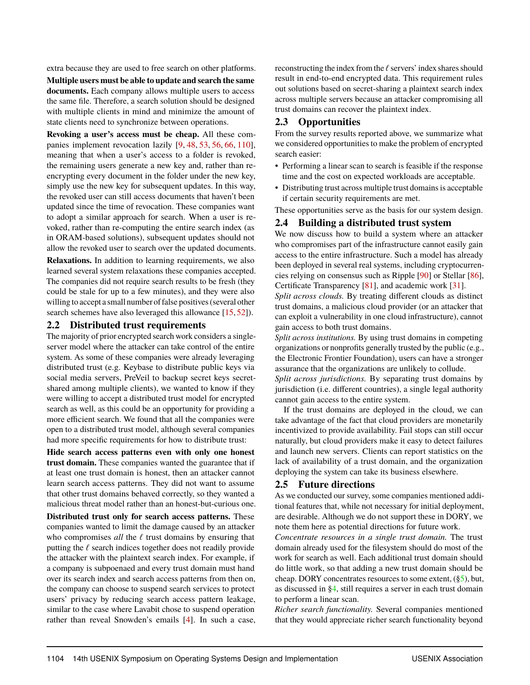extra because they are used to free search on other platforms.

**Multiple users must be able to update and search the same documents.** Each company allows multiple users to access the same file. Therefore, a search solution should be designed with multiple clients in mind and minimize the amount of state clients need to synchronize between operations.

**Revoking a user's access must be cheap.** All these companies implement revocation lazily [\[9,](#page-15-13) [48,](#page-16-14) [53,](#page-16-15) [56,](#page-16-16) [66,](#page-16-17) [110\]](#page-17-18), meaning that when a user's access to a folder is revoked, the remaining users generate a new key and, rather than reencrypting every document in the folder under the new key, simply use the new key for subsequent updates. In this way, the revoked user can still access documents that haven't been updated since the time of revocation. These companies want to adopt a similar approach for search. When a user is revoked, rather than re-computing the entire search index (as in ORAM-based solutions), subsequent updates should not allow the revoked user to search over the updated documents.

**Relaxations.** In addition to learning requirements, we also learned several system relaxations these companies accepted. The companies did not require search results to be fresh (they could be stale for up to a few minutes), and they were also willing to accept a small number of false positives (several other search schemes have also leveraged this allowance [\[15,](#page-15-6)[52\]](#page-16-2)).

## <span id="page-4-0"></span>**2.2 Distributed trust requirements**

The majority of prior encrypted search work considers a singleserver model where the attacker can take control of the entire system. As some of these companies were already leveraging distributed trust (e.g. Keybase to distribute public keys via social media servers, PreVeil to backup secret keys secretshared among multiple clients), we wanted to know if they were willing to accept a distributed trust model for encrypted search as well, as this could be an opportunity for providing a more efficient search. We found that all the companies were open to a distributed trust model, although several companies had more specific requirements for how to distribute trust:

**Hide search access patterns even with only one honest trust domain.** These companies wanted the guarantee that if at least one trust domain is honest, then an attacker cannot learn search access patterns. They did not want to assume that other trust domains behaved correctly, so they wanted a malicious threat model rather than an honest-but-curious one.

**Distributed trust only for search access patterns.** These companies wanted to limit the damage caused by an attacker who compromises  $all$  the  $\ell$  trust domains by ensuring that putting the  $\ell$  search indices together does not readily provide the attacker with the plaintext search index. For example, if a company is subpoenaed and every trust domain must hand over its search index and search access patterns from then on, the company can choose to suspend search services to protect users' privacy by reducing search access pattern leakage, similar to the case where Lavabit chose to suspend operation rather than reveal Snowden's emails [\[4\]](#page-15-14). In such a case, reconstructing the index from the  $\ell$  servers' index shares should result in end-to-end encrypted data. This requirement rules out solutions based on secret-sharing a plaintext search index across multiple servers because an attacker compromising all trust domains can recover the plaintext index.

## **2.3 Opportunities**

From the survey results reported above, we summarize what we considered opportunities to make the problem of encrypted search easier:

- Performing a linear scan to search is feasible if the response time and the cost on expected workloads are acceptable.
- Distributing trust across multiple trust domains is acceptable if certain security requirements are met.

These opportunities serve as the basis for our system design.

## <span id="page-4-1"></span>**2.4 Building a distributed trust system**

We now discuss how to build a system where an attacker who compromises part of the infrastructure cannot easily gain access to the entire infrastructure. Such a model has already been deployed in several real systems, including cryptocurrencies relying on consensus such as Ripple [\[90\]](#page-17-19) or Stellar [\[86\]](#page-17-20), Certificate Transparency [\[81\]](#page-17-21), and academic work [\[31\]](#page-15-15).

*Split across clouds.* By treating different clouds as distinct trust domains, a malicious cloud provider (or an attacker that can exploit a vulnerability in one cloud infrastructure), cannot gain access to both trust domains.

*Split across institutions.* By using trust domains in competing organizations or nonprofits generally trusted by the public (e.g., the Electronic Frontier Foundation), users can have a stronger assurance that the organizations are unlikely to collude.

*Split across jurisdictions.* By separating trust domains by jurisdiction (i.e. different countries), a single legal authority cannot gain access to the entire system.

If the trust domains are deployed in the cloud, we can take advantage of the fact that cloud providers are monetarily incentivized to provide availability. Fail stops can still occur naturally, but cloud providers make it easy to detect failures and launch new servers. Clients can report statistics on the lack of availability of a trust domain, and the organization deploying the system can take its business elsewhere.

## **2.5 Future directions**

As we conducted our survey, some companies mentioned additional features that, while not necessary for initial deployment, are desirable. Although we do not support these in DORY, we note them here as potential directions for future work.

*Concentrate resources in a single trust domain.* The trust domain already used for the filesystem should do most of the work for search as well. Each additional trust domain should do little work, so that adding a new trust domain should be cheap. DORY concentrates resources to some extent,  $(\S_5)$ , but, as discussed in [§4,](#page-6-0) still requires a server in each trust domain to perform a linear scan.

*Richer search functionality.* Several companies mentioned that they would appreciate richer search functionality beyond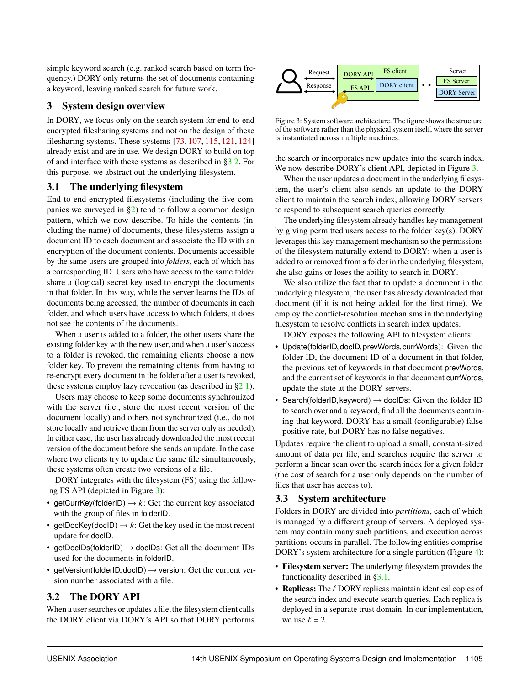simple keyword search (e.g. ranked search based on term frequency.) DORY only returns the set of documents containing a keyword, leaving ranked search for future work.

## **3 System design overview**

In DORY, we focus only on the search system for end-to-end encrypted filesharing systems and not on the design of these filesharing systems. These systems [\[73,](#page-16-0) [107,](#page-17-4) [115,](#page-17-5) [121,](#page-18-0) [124\]](#page-18-1) already exist and are in use. We design DORY to build on top of and interface with these systems as described in [§3.2.](#page-5-0) For this purpose, we abstract out the underlying filesystem.

## <span id="page-5-2"></span>**3.1 The underlying filesystem**

End-to-end encrypted filesystems (including the five companies we surveyed in  $\S2$ ) tend to follow a common design pattern, which we now describe. To hide the contents (including the name) of documents, these filesystems assign a document ID to each document and associate the ID with an encryption of the document contents. Documents accessible by the same users are grouped into *folders*, each of which has a corresponding ID. Users who have access to the same folder share a (logical) secret key used to encrypt the documents in that folder. In this way, while the server learns the IDs of documents being accessed, the number of documents in each folder, and which users have access to which folders, it does not see the contents of the documents.

When a user is added to a folder, the other users share the existing folder key with the new user, and when a user's access to a folder is revoked, the remaining clients choose a new folder key. To prevent the remaining clients from having to re-encrypt every document in the folder after a user is revoked, these systems employ lazy revocation (as described in [§2.1\)](#page-3-3).

Users may choose to keep some documents synchronized with the server (i.e., store the most recent version of the document locally) and others not synchronized (i.e., do not store locally and retrieve them from the server only as needed). In either case, the user has already downloaded the most recent version of the document before she sends an update. In the case where two clients try to update the same file simultaneously, these systems often create two versions of a file.

DORY integrates with the filesystem (FS) using the following FS API (depicted in Figure [3\)](#page-5-1):

- getCurrKey(folderID)  $\rightarrow k$ : Get the current key associated with the group of files in folderID.
- getDocKey(docID)  $\rightarrow k$ : Get the key used in the most recent update for docID.
- getDocIDs(folderID)  $\rightarrow$  docIDs: Get all the document IDs used for the documents in folderID.
- getVersion(folderID, docID)  $\rightarrow$  version: Get the current version number associated with a file.

## <span id="page-5-0"></span>**3.2 The DORY API**

When a user searches or updates a file, the filesystem client calls the DORY client via DORY's API so that DORY performs

<span id="page-5-1"></span>

Figure 3: System software architecture. The figure shows the structure of the software rather than the physical system itself, where the server is instantiated across multiple machines.

the search or incorporates new updates into the search index. We now describe DORY's client API, depicted in Figure [3.](#page-5-1)

When the user updates a document in the underlying filesystem, the user's client also sends an update to the DORY client to maintain the search index, allowing DORY servers to respond to subsequent search queries correctly.

The underlying filesystem already handles key management by giving permitted users access to the folder key(s). DORY leverages this key management mechanism so the permissions of the filesystem naturally extend to DORY: when a user is added to or removed from a folder in the underlying filesystem, she also gains or loses the ability to search in DORY.

We also utilize the fact that to update a document in the underlying filesystem, the user has already downloaded that document (if it is not being added for the first time). We employ the conflict-resolution mechanisms in the underlying filesystem to resolve conflicts in search index updates.

DORY exposes the following API to filesystem clients:

- Update(folderID, docID, prevWords, currWords): Given the folder ID, the document ID of a document in that folder, the previous set of keywords in that document prevWords, and the current set of keywords in that document currWords, update the state at the DORY servers.
- Search(folderID, keyword)  $\rightarrow$  docIDs: Given the folder ID to search over and a keyword, find all the documents containing that keyword. DORY has a small (configurable) false positive rate, but DORY has no false negatives.

Updates require the client to upload a small, constant-sized amount of data per file, and searches require the server to perform a linear scan over the search index for a given folder (the cost of search for a user only depends on the number of files that user has access to).

## **3.3 System architecture**

Folders in DORY are divided into *partitions*, each of which is managed by a different group of servers. A deployed system may contain many such partitions, and execution across partitions occurs in parallel. The following entities comprise DORY's system architecture for a single partition (Figure [4\)](#page-6-1):

- **Filesystem server:** The underlying filesystem provides the functionality described in [§3.1.](#page-5-2)
- **Replicas:** The  $\ell$  DORY replicas maintain identical copies of the search index and execute search queries. Each replica is deployed in a separate trust domain. In our implementation, we use  $\ell = 2$ .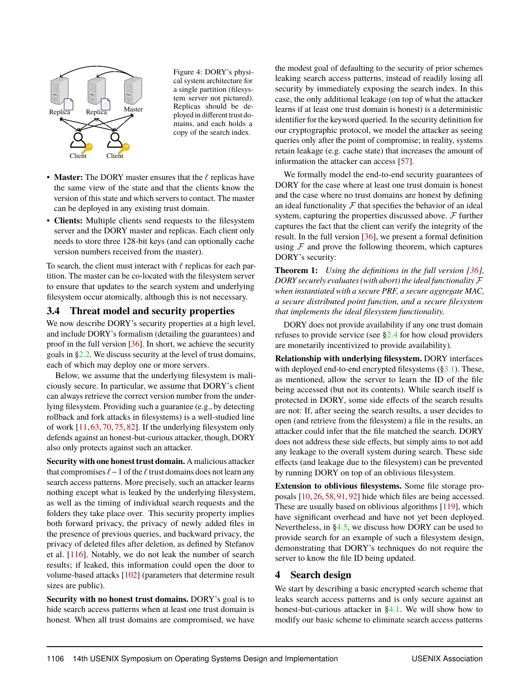<span id="page-6-1"></span>

Figure 4: DORY's physical system architecture for a single partition (filesystem server not pictured). Replicas should be deployed in different trust domains, and each holds a copy of the search index.

- **Master:** The DORY master ensures that the  $\ell$  replicas have the same view of the state and that the clients know the version of this state and which servers to contact. The master can be deployed in any existing trust domain.
- **Clients:** Multiple clients send requests to the filesystem server and the DORY master and replicas. Each client only needs to store three 128-bit keys (and can optionally cache version numbers received from the master).

To search, the client must interact with  $\ell$  replicas for each partition. The master can be co-located with the filesystem server to ensure that updates to the search system and underlying filesystem occur atomically, although this is not necessary.

## <span id="page-6-2"></span>**3.4 Threat model and security properties**

We now describe DORY's security properties at a high level, and include DORY's formalism (detailing the guarantees) and proof in the full version [\[36\]](#page-15-12). In short, we achieve the security goals in [§2.2.](#page-4-0) We discuss security at the level of trust domains, each of which may deploy one or more servers.

Below, we assume that the underlying filesystem is maliciously secure. In particular, we assume that DORY's client can always retrieve the correct version number from the underlying filesystem. Providing such a guarantee (e.g., by detecting rollback and fork attacks in filesystems) is a well-studied line of work [\[11,](#page-15-16) [63,](#page-16-18) [70,](#page-16-19) [75,](#page-16-20) [82\]](#page-17-22). If the underlying filesystem only defends against an honest-but-curious attacker, though, DORY also only protects against such an attacker.

**Security with one honest trust domain.** A malicious attacker that compromises  $\ell-1$  of the  $\ell$  trust domains does not learn any search access patterns. More precisely, such an attacker learns nothing except what is leaked by the underlying filesystem, as well as the timing of individual search requests and the folders they take place over. This security property implies both forward privacy, the privacy of newly added files in the presence of previous queries, and backward privacy, the privacy of deleted files after deletion, as defined by Stefanov et al. [\[116\]](#page-17-10). Notably, we do not leak the number of search results; if leaked, this information could open the door to volume-based attacks [\[102\]](#page-17-12) (parameters that determine result sizes are public).

**Security with no honest trust domains.** DORY's goal is to hide search access patterns when at least one trust domain is honest. When all trust domains are compromised, we have the modest goal of defaulting to the security of prior schemes leaking search access patterns, instead of readily losing all security by immediately exposing the search index. In this case, the only additional leakage (on top of what the attacker learns if at least one trust domain is honest) is a deterministic identifier for the keyword queried. In the security definition for our cryptographic protocol, we model the attacker as seeing queries only after the point of compromise; in reality, systems retain leakage (e.g. cache state) that increases the amount of information the attacker can access [\[57\]](#page-16-21).

We formally model the end-to-end security guarantees of DORY for the case where at least one trust domain is honest and the case where no trust domains are honest by defining an ideal functionality  $\mathcal F$  that specifies the behavior of an ideal system, capturing the properties discussed above.  $\mathcal F$  further captures the fact that the client can verify the integrity of the result. In the full version [\[36\]](#page-15-12), we present a formal definition using  $F$  and prove the following theorem, which captures DORY's security:

**Theorem 1:** *Using the definitions in the full version [\[36\]](#page-15-12), DORY securely evaluates (with abort) the ideal functionality* F *when instantiated with a secure PRF, a secure aggregate MAC, a secure distributed point function, and a secure filesystem that implements the ideal filesystem functionality.*

DORY does not provide availability if any one trust domain refuses to provide service (see [§2.4](#page-4-1) for how cloud providers are monetarily incentivized to provide availability).

**Relationship with underlying filesystem.** DORY interfaces with deployed end-to-end encrypted filesystems  $(\S3.1)$ . These, as mentioned, allow the server to learn the ID of the file being accessed (but not its contents). While search itself is protected in DORY, some side effects of the search results are not: If, after seeing the search results, a user decides to open (and retrieve from the filesystem) a file in the results, an attacker could infer that the file matched the search. DORY does not address these side effects, but simply aims to not add any leakage to the overall system during search. These side effects (and leakage due to the filesystem) can be prevented by running DORY on top of an oblivious filesystem.

**Extension to oblivious filesystems.** Some file storage proposals [\[10,](#page-15-17) [26,](#page-15-18) [58,](#page-16-22) [91,](#page-17-23) [92\]](#page-17-24) hide which files are being accessed. These are usually based on oblivious algorithms [\[119\]](#page-17-15), which have significant overhead and have not yet been deployed. Nevertheless, in [§4.5,](#page-8-0) we discuss how DORY can be used to provide search for an example of such a filesystem design, demonstrating that DORY's techniques do not require the server to know the file ID being updated.

## <span id="page-6-0"></span>**4 Search design**

We start by describing a basic encrypted search scheme that leaks search access patterns and is only secure against an honest-but-curious attacker in [§4.1.](#page-7-0) We will show how to modify our basic scheme to eliminate search access patterns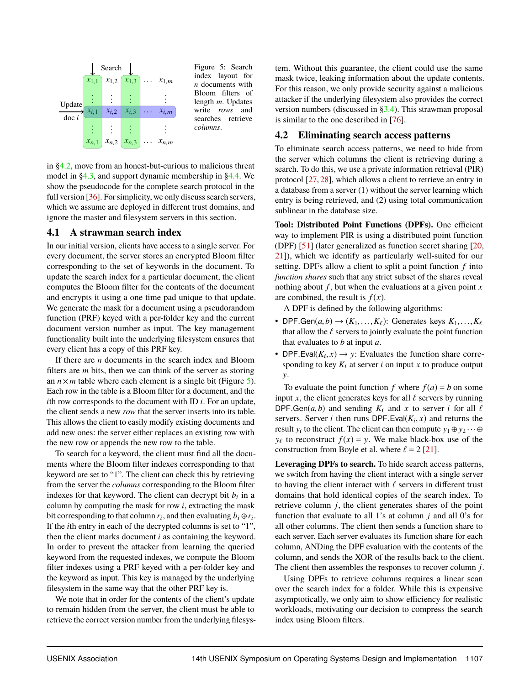<span id="page-7-3"></span>

index layout for *n* documents with Bloom filters of length *m*. Updates write *rows* and searches retrieve *columns*.

in [§4.2,](#page-7-2) move from an honest-but-curious to malicious threat model in [§4.3,](#page-7-1) and support dynamic membership in [§4.4.](#page-8-1) We show the pseudocode for the complete search protocol in the full version [\[36\]](#page-15-12). For simplicity, we only discuss search servers, which we assume are deployed in different trust domains, and ignore the master and filesystem servers in this section.

## <span id="page-7-0"></span>**4.1 A strawman search index**

In our initial version, clients have access to a single server. For every document, the server stores an encrypted Bloom filter corresponding to the set of keywords in the document. To update the search index for a particular document, the client computes the Bloom filter for the contents of the document and encrypts it using a one time pad unique to that update. We generate the mask for a document using a pseudorandom function (PRF) keyed with a per-folder key and the current document version number as input. The key management functionality built into the underlying filesystem ensures that every client has a copy of this PRF key.

If there are *n* documents in the search index and Bloom filters are *m* bits, then we can think of the server as storing an  $n \times m$  table where each element is a single bit (Figure [5\)](#page-7-3). Each row in the table is a Bloom filter for a document, and the *i*th row corresponds to the document with ID *i*. For an update, the client sends a new *row* that the server inserts into its table. This allows the client to easily modify existing documents and add new ones: the server either replaces an existing row with the new row or appends the new row to the table.

To search for a keyword, the client must find all the documents where the Bloom filter indexes corresponding to that keyword are set to "1". The client can check this by retrieving from the server the *columns* corresponding to the Bloom filter indexes for that keyword. The client can decrypt bit  $b_i$  in a column by computing the mask for row *i*, extracting the mask bit corresponding to that column  $r_i$ , and then evaluating  $b_i \oplus r_i$ . If the *i*th entry in each of the decrypted columns is set to "1", then the client marks document *i* as containing the keyword. In order to prevent the attacker from learning the queried keyword from the requested indexes, we compute the Bloom filter indexes using a PRF keyed with a per-folder key and the keyword as input. This key is managed by the underlying filesystem in the same way that the other PRF key is.

We note that in order for the contents of the client's update to remain hidden from the server, the client must be able to retrieve the correct version number from the underlying filesystem. Without this guarantee, the client could use the same mask twice, leaking information about the update contents. For this reason, we only provide security against a malicious attacker if the underlying filesystem also provides the correct version numbers (discussed in [§3.4\)](#page-6-2). This strawman proposal is similar to the one described in [\[76\]](#page-16-23).

## <span id="page-7-2"></span>**4.2 Eliminating search access patterns**

To eliminate search access patterns, we need to hide from the server which columns the client is retrieving during a search. To do this, we use a private information retrieval (PIR) protocol [\[27,](#page-15-10) [28\]](#page-15-11), which allows a client to retrieve an entry in a database from a server (1) without the server learning which entry is being retrieved, and (2) using total communication sublinear in the database size.

**Tool: Distributed Point Functions (DPFs).** One efficient way to implement PIR is using a distributed point function (DPF) [\[51\]](#page-16-12) (later generalized as function secret sharing [\[20,](#page-15-8) [21\]](#page-15-9)), which we identify as particularly well-suited for our setting. DPFs allow a client to split a point function *f* into *function shares* such that any strict subset of the shares reveal nothing about *f* , but when the evaluations at a given point *x* are combined, the result is  $f(x)$ .

A DPF is defined by the following algorithms:

- DPF.Gen $(a, b) \rightarrow (K_1, \ldots, K_\ell)$ : Generates keys  $K_1, \ldots, K_\ell$ that allow the  $\ell$  servers to jointly evaluate the point function that evaluates to *b* at input *a*.
- DPF.Eval( $K_i$ ,  $x$ )  $\rightarrow$  y: Evaluates the function share corre-<br>sponding to key  $K_i$ , at server *i* on input *x* to produce output sponding to key  $K_i$  at server *i* on input *x* to produce output y.

To evaluate the point function  $f$  where  $f(a) = b$  on some input *x*, the client generates keys for all  $\ell$  servers by running DPF.Gen( $a, b$ ) and sending  $K_i$  and  $x$  to server *i* for all  $\ell$ servers. Server *i* then runs DPF.Eval( $K_i$ , *x*) and returns the result *y*, to the client. The client can then compute *y*,  $\oplus$  *y*,  $\oplus$ result  $y_i$  to the client. The client can then compute  $y_1 \oplus y_2 \cdots \oplus$  $y_{\ell}$  to reconstruct  $f(x) = y$ . We make black-box use of the construction from Boyle et al. where  $\ell = 2$  [\[21\]](#page-15-9).

**Leveraging DPFs to search.** To hide search access patterns, we switch from having the client interact with a single server to having the client interact with  $\ell$  servers in different trust domains that hold identical copies of the search index. To retrieve column *j*, the client generates shares of the point function that evaluate to all 1's at column *j* and all 0's for all other columns. The client then sends a function share to each server. Each server evaluates its function share for each column, ANDing the DPF evaluation with the contents of the column, and sends the XOR of the results back to the client. The client then assembles the responses to recover column *j*.

<span id="page-7-1"></span>Using DPFs to retrieve columns requires a linear scan over the search index for a folder. While this is expensive asymptotically, we only aim to show efficiency for realistic workloads, motivating our decision to compress the search index using Bloom filters.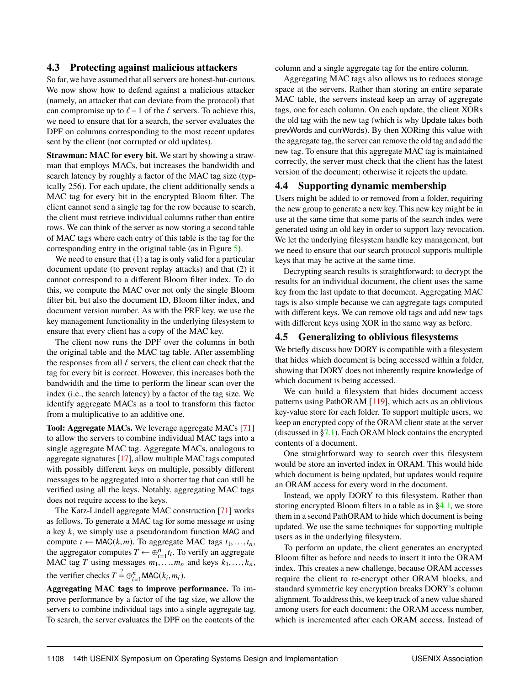## **4.3 Protecting against malicious attackers**

So far, we have assumed that all servers are honest-but-curious. We now show how to defend against a malicious attacker (namely, an attacker that can deviate from the protocol) that can compromise up to  $\ell - 1$  of the  $\ell$  servers. To achieve this, we need to ensure that for a search, the server evaluates the DPF on columns corresponding to the most recent updates sent by the client (not corrupted or old updates).

**Strawman: MAC for every bit.** We start by showing a strawman that employs MACs, but increases the bandwidth and search latency by roughly a factor of the MAC tag size (typically 256). For each update, the client additionally sends a MAC tag for every bit in the encrypted Bloom filter. The client cannot send a single tag for the row because to search, the client must retrieve individual columns rather than entire rows. We can think of the server as now storing a second table of MAC tags where each entry of this table is the tag for the corresponding entry in the original table (as in Figure [5\)](#page-7-3).

We need to ensure that (1) a tag is only valid for a particular document update (to prevent replay attacks) and that (2) it cannot correspond to a different Bloom filter index. To do this, we compute the MAC over not only the single Bloom filter bit, but also the document ID, Bloom filter index, and document version number. As with the PRF key, we use the key management functionality in the underlying filesystem to ensure that every client has a copy of the MAC key.

The client now runs the DPF over the columns in both the original table and the MAC tag table. After assembling the responses from all  $\ell$  servers, the client can check that the tag for every bit is correct. However, this increases both the bandwidth and the time to perform the linear scan over the index (i.e., the search latency) by a factor of the tag size. We identify aggregate MACs as a tool to transform this factor from a multiplicative to an additive one.

**Tool: Aggregate MACs.** We leverage aggregate MACs [\[71\]](#page-16-13) to allow the servers to combine individual MAC tags into a single aggregate MAC tag. Aggregate MACs, analogous to aggregate signatures [\[17\]](#page-15-19), allow multiple MAC tags computed with possibly different keys on multiple, possibly different messages to be aggregated into a shorter tag that can still be verified using all the keys. Notably, aggregating MAC tags does not require access to the keys.

The Katz-Lindell aggregate MAC construction [\[71\]](#page-16-13) works as follows. To generate a MAC tag for some message *m* using a key *k*, we simply use a pseudorandom function MAC and compute  $t \leftarrow \text{MAC}(k, m)$ . To aggregate MAC tags  $t_1, \ldots, t_n$ , the aggregator computes  $T \leftarrow \bigoplus_{i=1}^{n} t_i$ . To verify an aggregate MAC tag *T* using messages  $m_1, \ldots, m_n$  and keys  $k_1, \ldots, k_n$ , the verifier checks  $T = \bigoplus_{i=1}^{n} \text{MAC}(k_i, m_i)$ .

**Aggregating MAC tags to improve performance.** To improve performance by a factor of the tag size, we allow the servers to combine individual tags into a single aggregate tag. To search, the server evaluates the DPF on the contents of the

column and a single aggregate tag for the entire column.

Aggregating MAC tags also allows us to reduces storage space at the servers. Rather than storing an entire separate MAC table, the servers instead keep an array of aggregate tags, one for each column. On each update, the client XORs the old tag with the new tag (which is why Update takes both prevWords and currWords). By then XORing this value with the aggregate tag, the server can remove the old tag and add the new tag. To ensure that this aggregate MAC tag is maintained correctly, the server must check that the client has the latest version of the document; otherwise it rejects the update.

## <span id="page-8-1"></span>**4.4 Supporting dynamic membership**

Users might be added to or removed from a folder, requiring the new group to generate a new key. This new key might be in use at the same time that some parts of the search index were generated using an old key in order to support lazy revocation. We let the underlying filesystem handle key management, but we need to ensure that our search protocol supports multiple keys that may be active at the same time.

Decrypting search results is straightforward; to decrypt the results for an individual document, the client uses the same key from the last update to that document. Aggregating MAC tags is also simple because we can aggregate tags computed with different keys. We can remove old tags and add new tags with different keys using XOR in the same way as before.

## <span id="page-8-0"></span>**4.5 Generalizing to oblivious filesystems**

We briefly discuss how DORY is compatible with a filesystem that hides which document is being accessed within a folder, showing that DORY does not inherently require knowledge of which document is being accessed.

We can build a filesystem that hides document access patterns using PathORAM [\[119\]](#page-17-15), which acts as an oblivious key-value store for each folder. To support multiple users, we keep an encrypted copy of the ORAM client state at the server (discussed in [§7.1\)](#page-11-0). Each ORAM block contains the encrypted contents of a document.

One straightforward way to search over this filesystem would be store an inverted index in ORAM. This would hide which document is being updated, but updates would require an ORAM access for every word in the document.

Instead, we apply DORY to this filesystem. Rather than storing encrypted Bloom filters in a table as in  $\S 4.1$ , we store them in a second PathORAM to hide which document is being updated. We use the same techniques for supporting multiple users as in the underlying filesystem.

To perform an update, the client generates an encrypted Bloom filter as before and needs to insert it into the ORAM index. This creates a new challenge, because ORAM accesses require the client to re-encrypt other ORAM blocks, and standard symmetric key encryption breaks DORY's column alignment. To address this, we keep track of a new value shared among users for each document: the ORAM access number, which is incremented after each ORAM access. Instead of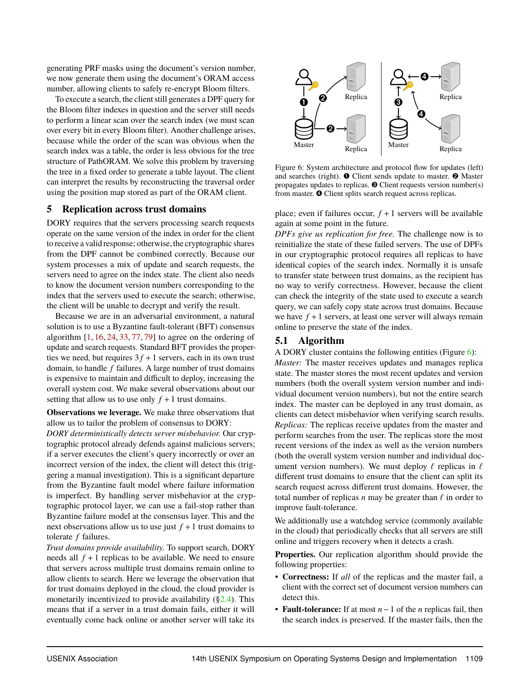generating PRF masks using the document's version number, we now generate them using the document's ORAM access number, allowing clients to safely re-encrypt Bloom filters.

To execute a search, the client still generates a DPF query for the Bloom filter indexes in question and the server still needs to perform a linear scan over the search index (we must scan over every bit in every Bloom filter). Another challenge arises, because while the order of the scan was obvious when the search index was a table, the order is less obvious for the tree structure of PathORAM. We solve this problem by traversing the tree in a fixed order to generate a table layout. The client can interpret the results by reconstructing the traversal order using the position map stored as part of the ORAM client.

#### <span id="page-9-0"></span>**5 Replication across trust domains**

DORY requires that the servers processing search requests operate on the same version of the index in order for the client to receive a valid response; otherwise, the cryptographic shares from the DPF cannot be combined correctly. Because our system processes a mix of update and search requests, the servers need to agree on the index state. The client also needs to know the document version numbers corresponding to the index that the servers used to execute the search; otherwise, the client will be unable to decrypt and verify the result.

Because we are in an adversarial environment, a natural solution is to use a Byzantine fault-tolerant (BFT) consensus algorithm  $[1, 16, 24, 33, 77, 79]$  $[1, 16, 24, 33, 77, 79]$  $[1, 16, 24, 33, 77, 79]$  $[1, 16, 24, 33, 77, 79]$  $[1, 16, 24, 33, 77, 79]$  $[1, 16, 24, 33, 77, 79]$  $[1, 16, 24, 33, 77, 79]$  $[1, 16, 24, 33, 77, 79]$  $[1, 16, 24, 33, 77, 79]$  $[1, 16, 24, 33, 77, 79]$  $[1, 16, 24, 33, 77, 79]$  to agree on the ordering of update and search requests. Standard BFT provides the properties we need, but requires  $3f + 1$  servers, each in its own trust domain, to handle *f* failures. A large number of trust domains is expensive to maintain and difficult to deploy, increasing the overall system cost. We make several observations about our setting that allow us to use only  $f + 1$  trust domains.

**Observations we leverage.** We make three observations that allow us to tailor the problem of consensus to DORY:

*DORY deterministically detects server misbehavior.* Our cryptographic protocol already defends against malicious servers; if a server executes the client's query incorrectly or over an incorrect version of the index, the client will detect this (triggering a manual investigation). This is a significant departure from the Byzantine fault model where failure information is imperfect. By handling server misbehavior at the cryptographic protocol layer, we can use a fail-stop rather than Byzantine failure model at the consensus layer. This and the next observations allow us to use just  $f + 1$  trust domains to tolerate *f* failures.

*Trust domains provide availability.* To support search, DORY needs all  $f + 1$  replicas to be available. We need to ensure that servers across multiple trust domains remain online to allow clients to search. Here we leverage the observation that for trust domains deployed in the cloud, the cloud provider is monetarily incentivized to provide availability  $(\S2.4)$ . This means that if a server in a trust domain fails, either it will eventually come back online or another server will take its

<span id="page-9-1"></span>

Figure 6: System architecture and protocol flow for updates (left) and searches (right). ➊ Client sends update to master. ➋ Master propagates updates to replicas. ➌ Client requests version number(s) from master.  $\bullet$  Client splits search request across replicas.

place; even if failures occur,  $f + 1$  servers will be available again at some point in the future.

*DPFs give us replication for free.* The challenge now is to reinitialize the state of these failed servers. The use of DPFs in our cryptographic protocol requires all replicas to have identical copies of the search index. Normally it is unsafe to transfer state between trust domains, as the recipient has no way to verify correctness. However, because the client can check the integrity of the state used to execute a search query, we can safely copy state across trust domains. Because we have  $f + 1$  servers, at least one server will always remain online to preserve the state of the index.

## **5.1 Algorithm**

A DORY cluster contains the following entities (Figure [6\)](#page-9-1):

*Master:* The master receives updates and manages replica state. The master stores the most recent updates and version numbers (both the overall system version number and individual document version numbers), but not the entire search index. The master can be deployed in any trust domain, as clients can detect misbehavior when verifying search results. *Replicas:* The replicas receive updates from the master and perform searches from the user. The replicas store the most recent versions of the index as well as the version numbers (both the overall system version number and individual document version numbers). We must deploy  $\ell$  replicas in  $\ell$ different trust domains to ensure that the client can split its search request across different trust domains. However, the total number of replicas  $n$  may be greater than  $\ell$  in order to improve fault-tolerance.

We additionally use a watchdog service (commonly available in the cloud) that periodically checks that all servers are still online and triggers recovery when it detects a crash.

**Properties.** Our replication algorithm should provide the following properties:

- **Correctness:** If *all* of the replicas and the master fail, a client with the correct set of document version numbers can detect this.
- **Fault-tolerance:** If at most *n*−1 of the *n* replicas fail, then the search index is preserved. If the master fails, then the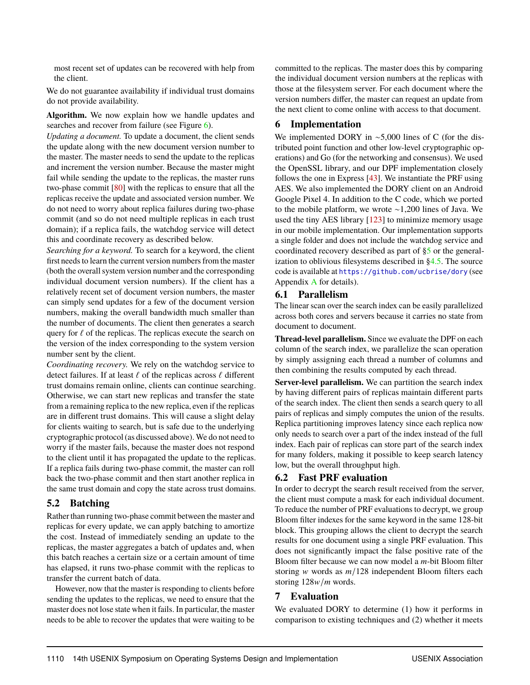most recent set of updates can be recovered with help from the client.

We do not guarantee availability if individual trust domains do not provide availability.

#### **Algorithm.** We now explain how we handle updates and searches and recover from failure (see Figure [6\)](#page-9-1).

*Updating a document.* To update a document, the client sends the update along with the new document version number to the master. The master needs to send the update to the replicas and increment the version number. Because the master might fail while sending the update to the replicas, the master runs two-phase commit [\[80\]](#page-17-25) with the replicas to ensure that all the replicas receive the update and associated version number. We do not need to worry about replica failures during two-phase commit (and so do not need multiple replicas in each trust domain); if a replica fails, the watchdog service will detect this and coordinate recovery as described below.

*Searching for a keyword.* To search for a keyword, the client first needs to learn the current version numbers from the master (both the overall system version number and the corresponding individual document version numbers). If the client has a relatively recent set of document version numbers, the master can simply send updates for a few of the document version numbers, making the overall bandwidth much smaller than the number of documents. The client then generates a search query for  $\ell$  of the replicas. The replicas execute the search on the version of the index corresponding to the system version number sent by the client.

*Coordinating recovery.* We rely on the watchdog service to detect failures. If at least  $\ell$  of the replicas across  $\ell$  different trust domains remain online, clients can continue searching. Otherwise, we can start new replicas and transfer the state from a remaining replica to the new replica, even if the replicas are in different trust domains. This will cause a slight delay for clients waiting to search, but is safe due to the underlying cryptographic protocol (as discussed above). We do not need to worry if the master fails, because the master does not respond to the client until it has propagated the update to the replicas. If a replica fails during two-phase commit, the master can roll back the two-phase commit and then start another replica in the same trust domain and copy the state across trust domains.

## **5.2 Batching**

Rather than running two-phase commit between the master and replicas for every update, we can apply batching to amortize the cost. Instead of immediately sending an update to the replicas, the master aggregates a batch of updates and, when this batch reaches a certain size or a certain amount of time has elapsed, it runs two-phase commit with the replicas to transfer the current batch of data.

However, now that the master is responding to clients before sending the updates to the replicas, we need to ensure that the master does not lose state when it fails. In particular, the master needs to be able to recover the updates that were waiting to be committed to the replicas. The master does this by comparing the individual document version numbers at the replicas with those at the filesystem server. For each document where the version numbers differ, the master can request an update from the next client to come online with access to that document.

## **6 Implementation**

We implemented DORY in ∼5,000 lines of C (for the distributed point function and other low-level cryptographic operations) and Go (for the networking and consensus). We used the OpenSSL library, and our DPF implementation closely follows the one in Express [\[43\]](#page-16-26). We instantiate the PRF using AES. We also implemented the DORY client on an Android Google Pixel 4. In addition to the C code, which we ported to the mobile platform, we wrote ∼1,200 lines of Java. We used the tiny AES library [\[123\]](#page-18-4) to minimize memory usage in our mobile implementation. Our implementation supports a single folder and does not include the watchdog service and coordinated recovery described as part of [§5](#page-9-0) or the generalization to oblivious filesystems described in [§4.5.](#page-8-0) The source code is available at <https://github.com/ucbrise/dory> (see Appendix [A](#page-18-5) for details).

## **6.1 Parallelism**

The linear scan over the search index can be easily parallelized across both cores and servers because it carries no state from document to document.

**Thread-level parallelism.** Since we evaluate the DPF on each column of the search index, we parallelize the scan operation by simply assigning each thread a number of columns and then combining the results computed by each thread.

**Server-level parallelism.** We can partition the search index by having different pairs of replicas maintain different parts of the search index. The client then sends a search query to all pairs of replicas and simply computes the union of the results. Replica partitioning improves latency since each replica now only needs to search over a part of the index instead of the full index. Each pair of replicas can store part of the search index for many folders, making it possible to keep search latency low, but the overall throughput high.

## **6.2 Fast PRF evaluation**

In order to decrypt the search result received from the server, the client must compute a mask for each individual document. To reduce the number of PRF evaluations to decrypt, we group Bloom filter indexes for the same keyword in the same 128-bit block. This grouping allows the client to decrypt the search results for one document using a single PRF evaluation. This does not significantly impact the false positive rate of the Bloom filter because we can now model a *m*-bit Bloom filter storing w words as *m*/128 independent Bloom filters each storing 128w/*m* words.

## <span id="page-10-0"></span>**7 Evaluation**

We evaluated DORY to determine (1) how it performs in comparison to existing techniques and (2) whether it meets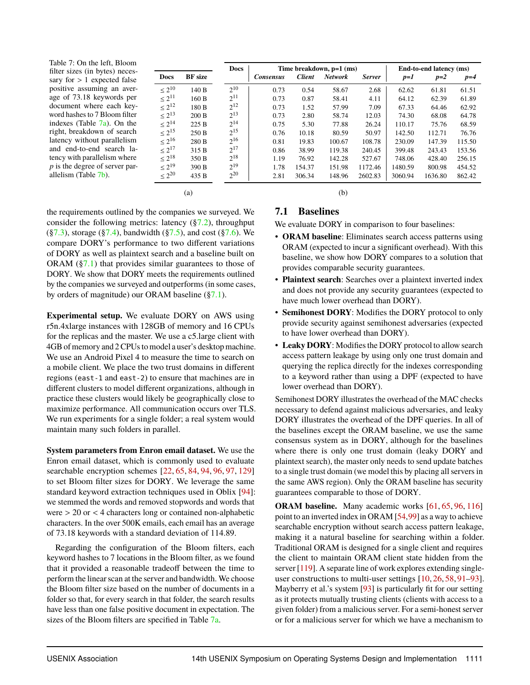<span id="page-11-1"></span>Table 7: On the left, Bloom filter sizes (in bytes) necessary for  $> 1$  expected false positive assuming an average of 73.18 keywords per document where each keyword hashes to 7 Bloom filter indexes (Table [7a\)](#page-11-1). On the right, breakdown of search latency without parallelism and end-to-end search latency with parallelism where *p* is the degree of server parallelism (Table [7b\)](#page-11-1).

(a)

**Docs BF size**  $\leq 2^{10}$ 140 B  $\leq 2^{11}$ 160 B  $\leq 2^{12}$ 180 B  $\leq 2^{13}$ 200 B  $\leq 2^{14}$  $225B$  $\leq 2^{15}$ 250 B  $\leq 2^{16}$ 280 B  $\leq 2^{17}$ 315 B  $\leq 2^{18}$ 350 B  $\leq 2^{19}$ 390 B  $\leq 2^{20}$ 435 B **Docs Time breakdown, p=1 (ms) End-to-end latency (ms)** *Consensus Client Network Server p=1 p=2 p=4*  $2^{10}$ <sup>10</sup> 0.73 0.54 58.67 2.68 62.62 61.81 61.51  $2^{11}$ <sup>11</sup> 0.73 0.87 58.41 4.11 64.12 62.39 61.89  $2^{12}$ <sup>12</sup> 0.73 1.52 57.99 7.09 67.33 64.46 62.92  $2^{13}$ 13 0.73 2.80 58.74 12.03 74.30 68.08 64.78  $2^{14}$ <sup>14</sup> 0.75 5.30 77.88 26.24 110.17 75.76 68.59  $2^{15}$ <sup>15</sup> 0.76 10.18 80.59 50.97 142.50 112.71 76.76  $2^{16}$ <sup>16</sup> 0.81 19.83 100.67 108.78 230.09 147.39 115.50  $2^{17}$ 17 0.86 38.99 119.38 240.45 399.48 243.43 153.56  $2^{18}$ <sup>18</sup> 1.19 76.92 142.28 527.67 748.06 428.40 256.15  $2^{19}$ <sup>19</sup> 1.78 154.37 151.98 1172.46 1480.59 800.98 454.52  $2^{20}$ <sup>20</sup> 2.81 306.34 148.96 2602.83 3060.94 1636.80 862.42

the requirements outlined by the companies we surveyed. We consider the following metrics: latency  $(\S7.2)$ , throughput  $(\S7.3)$ , storage  $(\S7.4)$ , bandwidth  $(\S7.5)$ , and cost  $(\S7.6)$ . We compare DORY's performance to two different variations of DORY as well as plaintext search and a baseline built on ORAM  $(\S7.1)$  that provides similar guarantees to those of DORY. We show that DORY meets the requirements outlined by the companies we surveyed and outperforms (in some cases, by orders of magnitude) our ORAM baseline ([§7.1\)](#page-11-0).

**Experimental setup.** We evaluate DORY on AWS using r5n.4xlarge instances with 128GB of memory and 16 CPUs for the replicas and the master. We use a c5.large client with 4GB of memory and 2 CPUs to model a user's desktop machine. We use an Android Pixel 4 to measure the time to search on a mobile client. We place the two trust domains in different regions (east-1 and east-2) to ensure that machines are in different clusters to model different organizations, although in practice these clusters would likely be geographically close to maximize performance. All communication occurs over TLS. We run experiments for a single folder; a real system would maintain many such folders in parallel.

**System parameters from Enron email dataset.** We use the Enron email dataset, which is commonly used to evaluate searchable encryption schemes [\[22,](#page-15-5) [65,](#page-16-5) [84,](#page-17-11) [94,](#page-17-6) [96,](#page-17-16) [97,](#page-17-7) [129\]](#page-18-2) to set Bloom filter sizes for DORY. We leverage the same standard keyword extraction techniques used in Oblix [\[94\]](#page-17-6): we stemmed the words and removed stopwords and words that were > <sup>20</sup> or < <sup>4</sup> characters long or contained non-alphabetic characters. In the over 500K emails, each email has an average of 73.18 keywords with a standard deviation of 114.89.

<span id="page-11-0"></span>Regarding the configuration of the Bloom filters, each keyword hashes to 7 locations in the Bloom filter, as we found that it provided a reasonable tradeoff between the time to perform the linear scan at the server and bandwidth. We choose the Bloom filter size based on the number of documents in a folder so that, for every search in that folder, the search results have less than one false positive document in expectation. The sizes of the Bloom filters are specified in Table [7a.](#page-11-1)

## **7.1 Baselines**

(b)

We evaluate DORY in comparison to four baselines:

- **ORAM baseline**: Eliminates search access patterns using ORAM (expected to incur a significant overhead). With this baseline, we show how DORY compares to a solution that provides comparable security guarantees.
- **Plaintext search**: Searches over a plaintext inverted index and does not provide any security guarantees (expected to have much lower overhead than DORY).
- **Semihonest DORY**: Modifies the DORY protocol to only provide security against semihonest adversaries (expected to have lower overhead than DORY).
- **Leaky DORY**: Modifies the DORY protocol to allow search access pattern leakage by using only one trust domain and querying the replica directly for the indexes corresponding to a keyword rather than using a DPF (expected to have lower overhead than DORY).

Semihonest DORY illustrates the overhead of the MAC checks necessary to defend against malicious adversaries, and leaky DORY illustrates the overhead of the DPF queries. In all of the baselines except the ORAM baseline, we use the same consensus system as in DORY, although for the baselines where there is only one trust domain (leaky DORY and plaintext search), the master only needs to send update batches to a single trust domain (we model this by placing all servers in the same AWS region). Only the ORAM baseline has security guarantees comparable to those of DORY.

**ORAM baseline.** Many academic works [\[61,](#page-16-8) [65,](#page-16-5) [96,](#page-17-16) [116\]](#page-17-10) point to an inverted index in ORAM [\[54,](#page-16-7)[99\]](#page-17-14) as a way to achieve searchable encryption without search access pattern leakage, making it a natural baseline for searching within a folder. Traditional ORAM is designed for a single client and requires the client to maintain ORAM client state hidden from the server [\[119\]](#page-17-15). A separate line of work explores extending singleuser constructions to multi-user settings [\[10,](#page-15-17) [26,](#page-15-18) [58,](#page-16-22) [91–](#page-17-23)[93\]](#page-17-26). Mayberry et al.'s system [\[93\]](#page-17-26) is particularly fit for our setting as it protects mutually trusting clients (clients with access to a given folder) from a malicious server. For a semi-honest server or for a malicious server for which we have a mechanism to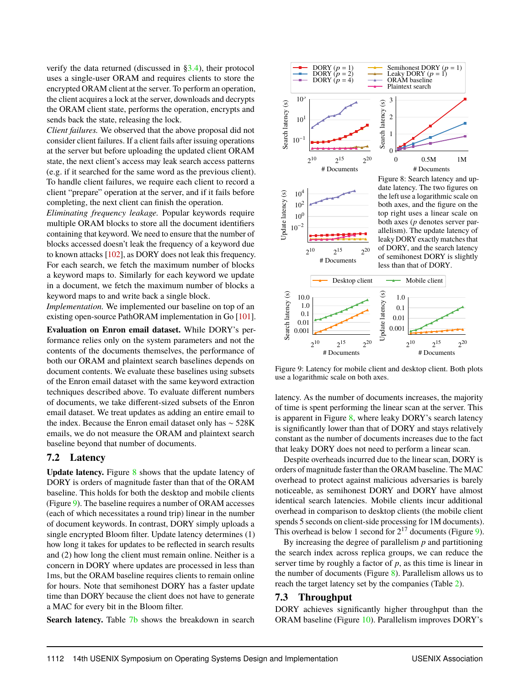verify the data returned (discussed in [§3.4\)](#page-6-2), their protocol uses a single-user ORAM and requires clients to store the encrypted ORAM client at the server. To perform an operation, the client acquires a lock at the server, downloads and decrypts the ORAM client state, performs the operation, encrypts and sends back the state, releasing the lock.

*Client failures.* We observed that the above proposal did not consider client failures. If a client fails after issuing operations at the server but before uploading the updated client ORAM state, the next client's access may leak search access patterns (e.g. if it searched for the same word as the previous client). To handle client failures, we require each client to record a client "prepare" operation at the server, and if it fails before completing, the next client can finish the operation.

*Eliminating frequency leakage.* Popular keywords require multiple ORAM blocks to store all the document identifiers containing that keyword. We need to ensure that the number of blocks accessed doesn't leak the frequency of a keyword due to known attacks [\[102\]](#page-17-12), as DORY does not leak this frequency. For each search, we fetch the maximum number of blocks a keyword maps to. Similarly for each keyword we update in a document, we fetch the maximum number of blocks a keyword maps to and write back a single block.

*Implementation.* We implemented our baseline on top of an existing open-source PathORAM implementation in Go [\[101\]](#page-17-27).

**Evaluation on Enron email dataset.** While DORY's performance relies only on the system parameters and not the contents of the documents themselves, the performance of both our ORAM and plaintext search baselines depends on document contents. We evaluate these baselines using subsets of the Enron email dataset with the same keyword extraction techniques described above. To evaluate different numbers of documents, we take different-sized subsets of the Enron email dataset. We treat updates as adding an entire email to the index. Because the Enron email dataset only has ∼ 528K emails, we do not measure the ORAM and plaintext search baseline beyond that number of documents.

## <span id="page-12-0"></span>**7.2 Latency**

Update latency. Figure [8](#page-12-2) shows that the update latency of DORY is orders of magnitude faster than that of the ORAM baseline. This holds for both the desktop and mobile clients (Figure [9\)](#page-12-3). The baseline requires a number of ORAM accesses (each of which necessitates a round trip) linear in the number of document keywords. In contrast, DORY simply uploads a single encrypted Bloom filter. Update latency determines (1) how long it takes for updates to be reflected in search results and (2) how long the client must remain online. Neither is a concern in DORY where updates are processed in less than 1ms, but the ORAM baseline requires clients to remain online for hours. Note that semihonest DORY has a faster update time than DORY because the client does not have to generate a MAC for every bit in the Bloom filter.

**Search latency.** Table [7b](#page-11-1) shows the breakdown in search

<span id="page-12-2"></span>

<span id="page-12-3"></span>

Figure 9: Latency for mobile client and desktop client. Both plots use a logarithmic scale on both axes.

latency. As the number of documents increases, the majority of time is spent performing the linear scan at the server. This is apparent in Figure [8,](#page-12-2) where leaky DORY's search latency is significantly lower than that of DORY and stays relatively constant as the number of documents increases due to the fact that leaky DORY does not need to perform a linear scan.

Despite overheads incurred due to the linear scan, DORY is orders of magnitude faster than the ORAM baseline. The MAC overhead to protect against malicious adversaries is barely noticeable, as semihonest DORY and DORY have almost identical search latencies. Mobile clients incur additional overhead in comparison to desktop clients (the mobile client spends 5 seconds on client-side processing for 1M documents). This overhead is below 1 second for  $2^{17}$  documents (Figure [9\)](#page-12-3).

By increasing the degree of parallelism *p* and partitioning the search index across replica groups, we can reduce the server time by roughly a factor of *p*, as this time is linear in the number of documents (Figure [8\)](#page-12-2). Parallelism allows us to reach the target latency set by the companies (Table [2\)](#page-3-1).

#### <span id="page-12-1"></span>**7.3 Throughput**

DORY achieves significantly higher throughput than the ORAM baseline (Figure [10\)](#page-13-3). Parallelism improves DORY's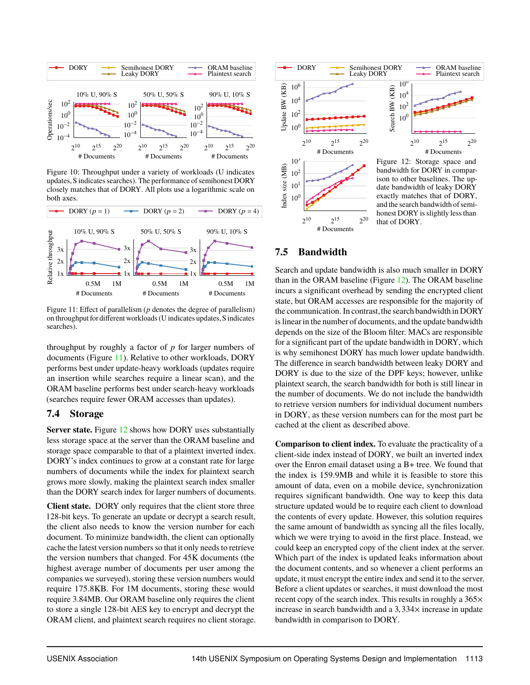<span id="page-13-3"></span>

Figure 10: Throughput under a variety of workloads (U indicates updates, S indicates searches). The performance of semihonest DORY closely matches that of DORY. All plots use a logarithmic scale on both axes.

<span id="page-13-4"></span>

Figure 11: Effect of parallelism (*p* denotes the degree of parallelism) on throughput for different workloads (U indicates updates, S indicates searches).

throughput by roughly a factor of *p* for larger numbers of documents (Figure [11\)](#page-13-4). Relative to other workloads, DORY performs best under update-heavy workloads (updates require an insertion while searches require a linear scan), and the ORAM baseline performs best under search-heavy workloads (searches require fewer ORAM accesses than updates).

## <span id="page-13-1"></span>**7.4 Storage**

**Server state.** Figure [12](#page-13-5) shows how DORY uses substantially less storage space at the server than the ORAM baseline and storage space comparable to that of a plaintext inverted index. DORY's index continues to grow at a constant rate for large numbers of documents while the index for plaintext search grows more slowly, making the plaintext search index smaller than the DORY search index for larger numbers of documents.

<span id="page-13-0"></span>**Client state.** DORY only requires that the client store three 128-bit keys. To generate an update or decrypt a search result, the client also needs to know the version number for each document. To minimize bandwidth, the client can optionally cache the latest version numbers so that it only needs to retrieve the version numbers that changed. For 45K documents (the highest average number of documents per user among the companies we surveyed), storing these version numbers would require 175.8KB. For 1M documents, storing these would require 3.84MB. Our ORAM baseline only requires the client to store a single 128-bit AES key to encrypt and decrypt the ORAM client, and plaintext search requires no client storage.

<span id="page-13-5"></span>

## **7.5 Bandwidth**

Search and update bandwidth is also much smaller in DORY than in the ORAM baseline (Figure [12\)](#page-13-5). The ORAM baseline incurs a significant overhead by sending the encrypted client state, but ORAM accesses are responsible for the majority of the communication. In contrast, the search bandwidth in DORY is linear in the number of documents, and the update bandwidth depends on the size of the Bloom filter. MACs are responsible for a significant part of the update bandwidth in DORY, which is why semihonest DORY has much lower update bandwidth. The difference in search bandwidth between leaky DORY and DORY is due to the size of the DPF keys; however, unlike plaintext search, the search bandwidth for both is still linear in the number of documents. We do not include the bandwidth to retrieve version numbers for individual document numbers in DORY, as these version numbers can for the most part be cached at the client as described above.

<span id="page-13-2"></span>**Comparison to client index.** To evaluate the practicality of a client-side index instead of DORY, we built an inverted index over the Enron email dataset using a B+ tree. We found that the index is 159.9MB and while it is feasible to store this amount of data, even on a mobile device, synchronization requires significant bandwidth. One way to keep this data structure updated would be to require each client to download the contents of every update. However, this solution requires the same amount of bandwidth as syncing all the files locally, which we were trying to avoid in the first place. Instead, we could keep an encrypted copy of the client index at the server. Which part of the index is updated leaks information about the document contents, and so whenever a client performs an update, it must encrypt the entire index and send it to the server. Before a client updates or searches, it must download the most recent copy of the search index. This results in roughly a 365× increase in search bandwidth and a  $3,334\times$  increase in update bandwidth in comparison to DORY.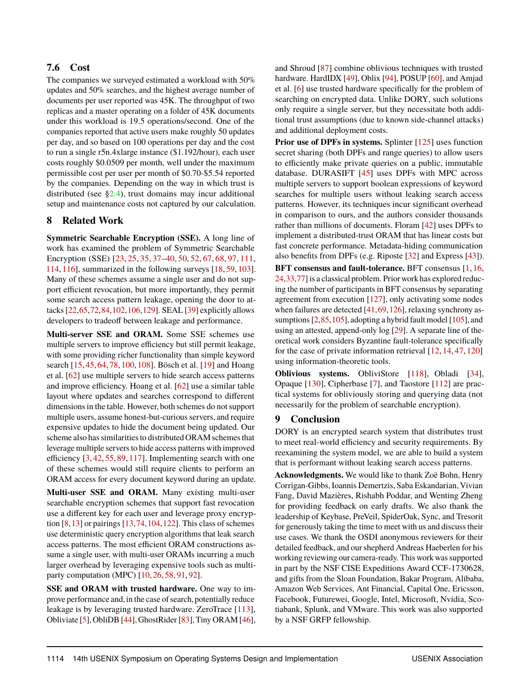## **7.6 Cost**

The companies we surveyed estimated a workload with 50% updates and 50% searches, and the highest average number of documents per user reported was 45K. The throughput of two replicas and a master operating on a folder of 45K documents under this workload is 19.5 operations/second. One of the companies reported that active users make roughly 50 updates per day, and so based on 100 operations per day and the cost to run a single r5n.4xlarge instance (\$1.192/hour), each user costs roughly \$0.0509 per month, well under the maximum permissible cost per user per month of \$0.70-\$5.54 reported by the companies. Depending on the way in which trust is distributed (see  $\S2.4$ ), trust domains may incur additional setup and maintenance costs not captured by our calculation.

## <span id="page-14-0"></span>**8 Related Work**

**Symmetric Searchable Encryption (SSE).** A long line of work has examined the problem of Symmetric Searchable Encryption (SSE) [\[23,](#page-15-0) [25,](#page-15-1) [35,](#page-15-2) [37–](#page-15-3)[40,](#page-15-4) [50,](#page-16-1) [52,](#page-16-2) [67,](#page-16-3) [68,](#page-16-4) [97,](#page-17-7) [111,](#page-17-8) [114,](#page-17-9) [116\]](#page-17-10), summarized in the following surveys [\[18,](#page-15-24) [59,](#page-16-27) [103\]](#page-17-28). Many of these schemes assume a single user and do not support efficient revocation, but more importantly, they permit some search access pattern leakage, opening the door to attacks [\[22,](#page-15-5)[65](#page-16-5)[,72,](#page-16-6)[84,](#page-17-11)[102](#page-17-12)[,106,](#page-17-13)[129\]](#page-18-2). SEAL [\[39\]](#page-15-25) explicitly allows developers to tradeoff between leakage and performance.

**Multi-server SSE and ORAM.** Some SSE schemes use multiple servers to improve efficiency but still permit leakage, with some providing richer functionality than simple keyword search [\[15,](#page-15-6) [45,](#page-16-9) [64,](#page-16-11) [78,](#page-16-28) [100,](#page-17-29) [108\]](#page-17-17). Bösch et al. [\[19\]](#page-15-7) and Hoang et al. [\[62\]](#page-16-10) use multiple servers to hide search access patterns and improve efficiency. Hoang et al. [\[62\]](#page-16-10) use a similar table layout where updates and searches correspond to different dimensions in the table. However, both schemes do not support multiple users, assume honest-but-curious servers, and require expensive updates to hide the document being updated. Our scheme also has similarities to distributed ORAM schemes that leverage multiple servers to hide access patterns with improved efficiency [\[3,](#page-15-26) [42,](#page-16-29) [55,](#page-16-30) [89,](#page-17-30) [117\]](#page-17-31). Implementing search with one of these schemes would still require clients to perform an ORAM access for every document keyword during an update.

**Multi-user SSE and ORAM.** Many existing multi-user searchable encryption schemes that support fast revocation use a different key for each user and leverage proxy encryption [\[8,](#page-15-27)[13\]](#page-15-28) or pairings [\[13,](#page-15-28)[74,](#page-16-31)[104,](#page-17-32)[122\]](#page-18-6). This class of schemes use deterministic query encryption algorithms that leak search access patterns. The most efficient ORAM constructions assume a single user, with multi-user ORAMs incurring a much larger overhead by leveraging expensive tools such as multiparty computation (MPC) [\[10,](#page-15-17) [26,](#page-15-18) [58,](#page-16-22) [91,](#page-17-23) [92\]](#page-17-24).

**SSE and ORAM with trusted hardware.** One way to improve performance and,in the case of search, potentially reduce leakage is by leveraging trusted hardware. ZeroTrace [\[113\]](#page-17-33), Obliviate [\[5\]](#page-15-29), ObliDB [\[44\]](#page-16-32), GhostRider [\[83\]](#page-17-34), Tiny ORAM [\[46\]](#page-16-33),

and Shroud [\[87\]](#page-17-35) combine oblivious techniques with trusted hardware. HardIDX [\[49\]](#page-16-34), Oblix [\[94\]](#page-17-6), POSUP [\[60\]](#page-16-35), and Amjad et al. [\[6\]](#page-15-30) use trusted hardware specifically for the problem of searching on encrypted data. Unlike DORY, such solutions only require a single server, but they necessitate both additional trust assumptions (due to known side-channel attacks) and additional deployment costs.

**Prior use of DPFs in systems.** Splinter [\[125\]](#page-18-7) uses function secret sharing (both DPFs and range queries) to allow users to efficiently make private queries on a public, immutable database. DURASIFT [\[45\]](#page-16-9) uses DPFs with MPC across multiple servers to support boolean expressions of keyword searches for multiple users without leaking search access patterns. However, its techniques incur significant overhead in comparison to ours, and the authors consider thousands rather than millions of documents. Floram [\[42\]](#page-16-29) uses DPFs to implement a distributed-trust ORAM that has linear costs but fast concrete performance. Metadata-hiding communication also benefits from DPFs (e.g. Riposte [\[32\]](#page-15-31) and Express [\[43\]](#page-16-26)).

**BFT consensus and fault-tolerance.** BFT consensus [\[1,](#page-15-20) [16,](#page-15-21) [24,](#page-15-22)[33,](#page-15-23)[77\]](#page-16-24) is a classical problem. Prior work has explored reducing the number of participants in BFT consensus by separating agreement from execution [\[127\]](#page-18-8), only activating some nodes when failures are detected [\[41,](#page-16-36) [69,](#page-16-37) [126\]](#page-18-9), relaxing synchrony assumptions  $[2,85,105]$  $[2,85,105]$  $[2,85,105]$ , adopting a hybrid fault model  $[105]$ , and using an attested, append-only log [\[29\]](#page-15-33). A separate line of theoretical work considers Byzantine fault-tolerance specifically for the case of private information retrieval [\[12,](#page-15-34) [14,](#page-15-35) [47,](#page-16-38) [120\]](#page-18-10) using information-theoretic tools.

**Oblivious systems.** ObliviStore [\[118\]](#page-17-38), Obladi [\[34\]](#page-15-36), Opaque [\[130\]](#page-18-11), Cipherbase [\[7\]](#page-15-37), and Taostore [\[112\]](#page-17-39) are practical systems for obliviously storing and querying data (not necessarily for the problem of searchable encryption).

## **9 Conclusion**

DORY is an encrypted search system that distributes trust to meet real-world efficiency and security requirements. By reexamining the system model, we are able to build a system that is performant without leaking search access patterns.

**Acknowledgments.** We would like to thank Zoë Bohn, Henry Corrigan-Gibbs, Ioannis Demertzis, Saba Eskandarian, Vivian Fang, David Mazières, Rishabh Poddar, and Wenting Zheng for providing feedback on early drafts. We also thank the leadership of Keybase, PreVeil, SpiderOak, Sync, and Tresorit for generously taking the time to meet with us and discuss their use cases. We thank the OSDI anonymous reviewers for their detailed feedback, and our shepherd Andreas Haeberlen for his working reviewing our camera-ready. This work was supported in part by the NSF CISE Expeditions Award CCF-1730628, and gifts from the Sloan Foundation, Bakar Program, Alibaba, Amazon Web Services, Ant Financial, Capital One, Ericsson, Facebook, Futurewei, Google, Intel, Microsoft, Nvidia, Scotiabank, Splunk, and VMware. This work was also supported by a NSF GRFP fellowship.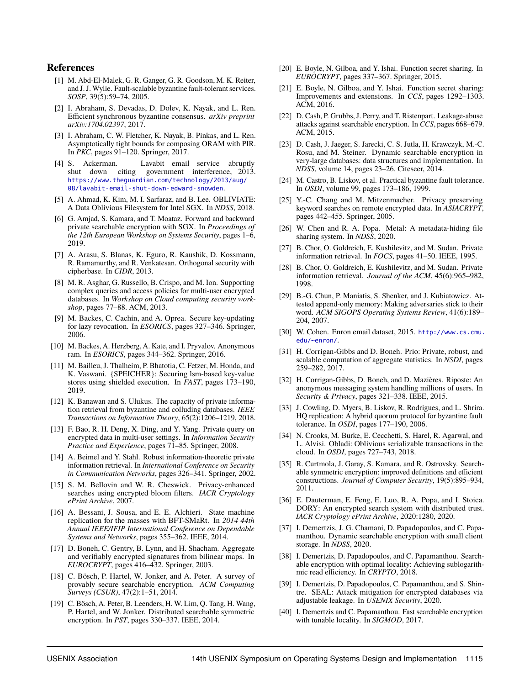#### **References**

- <span id="page-15-20"></span>[1] M. Abd-El-Malek, G. R. Ganger, G. R. Goodson, M. K. Reiter, and J. J. Wylie. Fault-scalable byzantine fault-tolerant services. *SOSP*, 39(5):59–74, 2005.
- <span id="page-15-32"></span>[2] I. Abraham, S. Devadas, D. Dolev, K. Nayak, and L. Ren. Efficient synchronous byzantine consensus. *arXiv preprint arXiv:1704.02397*, 2017.
- <span id="page-15-26"></span>[3] I. Abraham, C. W. Fletcher, K. Nayak, B. Pinkas, and L. Ren. Asymptotically tight bounds for composing ORAM with PIR. In *PKC*, pages 91–120. Springer, 2017.
- <span id="page-15-14"></span>[4] S. Ackerman. Lavabit email service abruptly shut down citing government interference, 2013. [https://www.theguardian.com/technology/2013/aug/](https://www.theguardian.com/technology/2013/aug/08/lavabit-email-shut-down-edward-snowden) [08/lavabit-email-shut-down-edward-snowden](https://www.theguardian.com/technology/2013/aug/08/lavabit-email-shut-down-edward-snowden).
- <span id="page-15-29"></span>[5] A. Ahmad, K. Kim, M. I. Sarfaraz, and B. Lee. OBLIVIATE: A Data Oblivious Filesystem for Intel SGX. In *NDSS*, 2018.
- <span id="page-15-30"></span>[6] G. Amjad, S. Kamara, and T. Moataz. Forward and backward private searchable encryption with SGX. In *Proceedings of the 12th European Workshop on Systems Security*, pages 1–6, 2019.
- <span id="page-15-37"></span>[7] A. Arasu, S. Blanas, K. Eguro, R. Kaushik, D. Kossmann, R. Ramamurthy, and R. Venkatesan. Orthogonal security with cipherbase. In *CIDR*, 2013.
- <span id="page-15-27"></span>[8] M. R. Asghar, G. Russello, B. Crispo, and M. Ion. Supporting complex queries and access policies for multi-user encrypted databases. In *Workshop on Cloud computing security workshop*, pages 77–88. ACM, 2013.
- <span id="page-15-13"></span>[9] M. Backes, C. Cachin, and A. Oprea. Secure key-updating for lazy revocation. In *ESORICS*, pages 327–346. Springer, 2006.
- <span id="page-15-17"></span>[10] M. Backes, A. Herzberg, A. Kate, and I. Pryvalov. Anonymous ram. In *ESORICS*, pages 344–362. Springer, 2016.
- <span id="page-15-16"></span>[11] M. Bailleu, J. Thalheim, P. Bhatotia, C. Fetzer, M. Honda, and K. Vaswani. {SPEICHER}: Securing lsm-based key-value stores using shielded execution. In *FAST*, pages 173–190, 2019.
- <span id="page-15-34"></span>[12] K. Banawan and S. Ulukus. The capacity of private information retrieval from byzantine and colluding databases. *IEEE Transactions on Information Theory*, 65(2):1206–1219, 2018.
- <span id="page-15-28"></span>[13] F. Bao, R. H. Deng, X. Ding, and Y. Yang. Private query on encrypted data in multi-user settings. In *Information Security Practice and Experience*, pages 71–85. Springer, 2008.
- <span id="page-15-35"></span>[14] A. Beimel and Y. Stahl. Robust information-theoretic private information retrieval. In *International Conference on Security in Communication Networks*, pages 326–341. Springer, 2002.
- <span id="page-15-6"></span>[15] S. M. Bellovin and W. R. Cheswick. Privacy-enhanced searches using encrypted bloom filters. *IACR Cryptology ePrint Archive*, 2007.
- <span id="page-15-21"></span>[16] A. Bessani, J. Sousa, and E. E. Alchieri. State machine replication for the masses with BFT-SMaRt. In *2014 44th Annual IEEE/IFIP International Conference on Dependable Systems and Networks*, pages 355–362. IEEE, 2014.
- <span id="page-15-19"></span>[17] D. Boneh, C. Gentry, B. Lynn, and H. Shacham. Aggregate and verifiably encrypted signatures from bilinear maps. In *EUROCRYPT*, pages 416–432. Springer, 2003.
- <span id="page-15-24"></span>[18] C. Bösch, P. Hartel, W. Jonker, and A. Peter. A survey of provably secure searchable encryption. *ACM Computing Surveys (CSUR)*, 47(2):1–51, 2014.
- <span id="page-15-7"></span>[19] C. Bösch, A. Peter, B. Leenders, H. W. Lim, Q. Tang, H. Wang, P. Hartel, and W. Jonker. Distributed searchable symmetric encryption. In *PST*, pages 330–337. IEEE, 2014.
- <span id="page-15-8"></span>[20] E. Boyle, N. Gilboa, and Y. Ishai. Function secret sharing. In *EUROCRYPT*, pages 337–367. Springer, 2015.
- <span id="page-15-9"></span>[21] E. Boyle, N. Gilboa, and Y. Ishai. Function secret sharing: Improvements and extensions. In *CCS*, pages 1292–1303. ACM, 2016.
- <span id="page-15-5"></span>[22] D. Cash, P. Grubbs, J. Perry, and T. Ristenpart. Leakage-abuse attacks against searchable encryption. In *CCS*, pages 668–679. ACM, 2015.
- <span id="page-15-0"></span>[23] D. Cash, J. Jaeger, S. Jarecki, C. S. Jutla, H. Krawczyk, M.-C. Rosu, and M. Steiner. Dynamic searchable encryption in very-large databases: data structures and implementation. In *NDSS*, volume 14, pages 23–26. Citeseer, 2014.
- <span id="page-15-22"></span>[24] M. Castro, B. Liskov, et al. Practical byzantine fault tolerance. In *OSDI*, volume 99, pages 173–186, 1999.
- <span id="page-15-1"></span>[25] Y.-C. Chang and M. Mitzenmacher. Privacy preserving keyword searches on remote encrypted data. In *ASIACRYPT*, pages 442–455. Springer, 2005.
- <span id="page-15-18"></span>[26] W. Chen and R. A. Popa. Metal: A metadata-hiding file sharing system. In *NDSS*, 2020.
- <span id="page-15-10"></span>[27] B. Chor, O. Goldreich, E. Kushilevitz, and M. Sudan. Private information retrieval. In *FOCS*, pages 41–50. IEEE, 1995.
- <span id="page-15-11"></span>[28] B. Chor, O. Goldreich, E. Kushilevitz, and M. Sudan. Private information retrieval. *Journal of the ACM*, 45(6):965–982, 1998.
- <span id="page-15-33"></span>[29] B.-G. Chun, P. Maniatis, S. Shenker, and J. Kubiatowicz. Attested append-only memory: Making adversaries stick to their word. *ACM SIGOPS Operating Systems Review*, 41(6):189– 204, 2007.
- <span id="page-15-38"></span>[30] W. Cohen. Enron email dataset, 2015. [http://www.cs.cmu.](http://www.cs.cmu.edu/~enron/) [edu/~enron/](http://www.cs.cmu.edu/~enron/).
- <span id="page-15-15"></span>[31] H. Corrigan-Gibbs and D. Boneh. Prio: Private, robust, and scalable computation of aggregate statistics. In *NSDI*, pages 259–282, 2017.
- <span id="page-15-31"></span>[32] H. Corrigan-Gibbs, D. Boneh, and D. Mazières. Riposte: An anonymous messaging system handling millions of users. In *Security & Privacy*, pages 321–338. IEEE, 2015.
- <span id="page-15-23"></span>[33] J. Cowling, D. Myers, B. Liskov, R. Rodrigues, and L. Shrira. HQ replication: A hybrid quorum protocol for byzantine fault tolerance. In *OSDI*, pages 177–190, 2006.
- <span id="page-15-36"></span>[34] N. Crooks, M. Burke, E. Cecchetti, S. Harel, R. Agarwal, and L. Alvisi. Obladi: Oblivious serializable transactions in the cloud. In *OSDI*, pages 727–743, 2018.
- <span id="page-15-2"></span>[35] R. Curtmola, J. Garay, S. Kamara, and R. Ostrovsky. Searchable symmetric encryption: improved definitions and efficient constructions. *Journal of Computer Security*, 19(5):895–934, 2011.
- <span id="page-15-12"></span>[36] E. Dauterman, E. Feng, E. Luo, R. A. Popa, and I. Stoica. DORY: An encrypted search system with distributed trust. *IACR Cryptology ePrint Archive*, 2020:1280, 2020.
- <span id="page-15-3"></span>[37] I. Demertzis, J. G. Chamani, D. Papadopoulos, and C. Papamanthou. Dynamic searchable encryption with small client storage. In *NDSS*, 2020.
- [38] I. Demertzis, D. Papadopoulos, and C. Papamanthou. Searchable encryption with optimal locality: Achieving sublogarithmic read efficiency. In *CRYPTO*, 2018.
- <span id="page-15-25"></span>[39] I. Demertzis, D. Papadopoulos, C. Papamanthou, and S. Shintre. SEAL: Attack mitigation for encrypted databases via adjustable leakage. In *USENIX Security*, 2020.
- <span id="page-15-4"></span>[40] I. Demertzis and C. Papamanthou. Fast searchable encryption with tunable locality. In *SIGMOD*, 2017.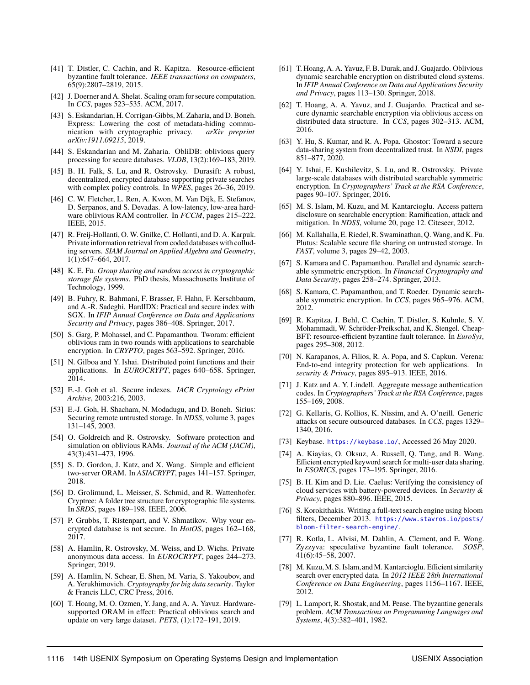- <span id="page-16-36"></span>[41] T. Distler, C. Cachin, and R. Kapitza. Resource-efficient byzantine fault tolerance. *IEEE transactions on computers*, 65(9):2807–2819, 2015.
- <span id="page-16-29"></span>[42] J. Doerner and A. Shelat. Scaling oram for secure computation. In *CCS*, pages 523–535. ACM, 2017.
- <span id="page-16-26"></span>[43] S. Eskandarian, H. Corrigan-Gibbs, M. Zaharia, and D. Boneh. Express: Lowering the cost of metadata-hiding communication with cryptographic privacy. arXiv preprint nication with cryptographic privacy. *arXiv:1911.09215*, 2019.
- <span id="page-16-32"></span>[44] S. Eskandarian and M. Zaharia. ObliDB: oblivious query processing for secure databases. *VLDB*, 13(2):169–183, 2019.
- <span id="page-16-9"></span>[45] B. H. Falk, S. Lu, and R. Ostrovsky. Durasift: A robust, decentralized, encrypted database supporting private searches with complex policy controls. In *WPES*, pages 26–36, 2019.
- <span id="page-16-33"></span>[46] C. W. Fletcher, L. Ren, A. Kwon, M. Van Dijk, E. Stefanov, D. Serpanos, and S. Devadas. A low-latency, low-area hardware oblivious RAM controller. In *FCCM*, pages 215–222. IEEE, 2015.
- <span id="page-16-38"></span>[47] R. Freij-Hollanti, O. W. Gnilke, C. Hollanti, and D. A. Karpuk. Private information retrieval from coded databases with colluding servers. *SIAM Journal on Applied Algebra and Geometry*, 1(1):647–664, 2017.
- <span id="page-16-14"></span>[48] K. E. Fu. *Group sharing and random access in cryptographic storage file systems*. PhD thesis, Massachusetts Institute of Technology, 1999.
- <span id="page-16-34"></span>[49] B. Fuhry, R. Bahmani, F. Brasser, F. Hahn, F. Kerschbaum, and A.-R. Sadeghi. HardIDX: Practical and secure index with SGX. In *IFIP Annual Conference on Data and Applications Security and Privacy*, pages 386–408. Springer, 2017.
- <span id="page-16-1"></span>[50] S. Garg, P. Mohassel, and C. Papamanthou. Tworam: efficient oblivious ram in two rounds with applications to searchable encryption. In *CRYPTO*, pages 563–592. Springer, 2016.
- <span id="page-16-12"></span>[51] N. Gilboa and Y. Ishai. Distributed point functions and their applications. In *EUROCRYPT*, pages 640–658. Springer, 2014.
- <span id="page-16-2"></span>[52] E.-J. Goh et al. Secure indexes. *IACR Cryptology ePrint Archive*, 2003:216, 2003.
- <span id="page-16-15"></span>[53] E.-J. Goh, H. Shacham, N. Modadugu, and D. Boneh. Sirius: Securing remote untrusted storage. In *NDSS*, volume 3, pages 131–145, 2003.
- <span id="page-16-7"></span>[54] O. Goldreich and R. Ostrovsky. Software protection and simulation on oblivious RAMs. *Journal of the ACM (JACM)*, 43(3):431–473, 1996.
- <span id="page-16-30"></span>[55] S. D. Gordon, J. Katz, and X. Wang. Simple and efficient two-server ORAM. In *ASIACRYPT*, pages 141–157. Springer, 2018.
- <span id="page-16-16"></span>[56] D. Grolimund, L. Meisser, S. Schmid, and R. Wattenhofer. Cryptree: A folder tree structure for cryptographic file systems. In *SRDS*, pages 189–198. IEEE, 2006.
- <span id="page-16-21"></span>[57] P. Grubbs, T. Ristenpart, and V. Shmatikov. Why your encrypted database is not secure. In *HotOS*, pages 162–168, 2017.
- <span id="page-16-22"></span>[58] A. Hamlin, R. Ostrovsky, M. Weiss, and D. Wichs. Private anonymous data access. In *EUROCRYPT*, pages 244–273. Springer, 2019.
- <span id="page-16-27"></span>[59] A. Hamlin, N. Schear, E. Shen, M. Varia, S. Yakoubov, and A. Yerukhimovich. *Cryptography for big data security*. Taylor & Francis LLC, CRC Press, 2016.
- <span id="page-16-35"></span>[60] T. Hoang, M. O. Ozmen, Y. Jang, and A. A. Yavuz. Hardwaresupported ORAM in effect: Practical oblivious search and update on very large dataset. *PETS*, (1):172–191, 2019.
- <span id="page-16-8"></span>[61] T. Hoang, A. A. Yavuz, F. B. Durak, and J. Guajardo. Oblivious dynamic searchable encryption on distributed cloud systems. In *IFIP Annual Conference on Data and Applications Security and Privacy*, pages 113–130. Springer, 2018.
- <span id="page-16-10"></span>[62] T. Hoang, A. A. Yavuz, and J. Guajardo. Practical and secure dynamic searchable encryption via oblivious access on distributed data structure. In *CCS*, pages 302–313. ACM, 2016.
- <span id="page-16-18"></span>[63] Y. Hu, S. Kumar, and R. A. Popa. Ghostor: Toward a secure data-sharing system from decentralized trust. In *NSDI*, pages 851–877, 2020.
- <span id="page-16-11"></span>[64] Y. Ishai, E. Kushilevitz, S. Lu, and R. Ostrovsky. Private large-scale databases with distributed searchable symmetric encryption. In *Cryptographers' Track at the RSA Conference*, pages 90–107. Springer, 2016.
- <span id="page-16-5"></span>[65] M. S. Islam, M. Kuzu, and M. Kantarcioglu. Access pattern disclosure on searchable encryption: Ramification, attack and mitigation. In *NDSS*, volume 20, page 12. Citeseer, 2012.
- <span id="page-16-17"></span>[66] M. Kallahalla, E. Riedel, R. Swaminathan, Q. Wang, and K. Fu. Plutus: Scalable secure file sharing on untrusted storage. In *FAST*, volume 3, pages 29–42, 2003.
- <span id="page-16-3"></span>[67] S. Kamara and C. Papamanthou. Parallel and dynamic searchable symmetric encryption. In *Financial Cryptography and Data Security*, pages 258–274. Springer, 2013.
- <span id="page-16-4"></span>[68] S. Kamara, C. Papamanthou, and T. Roeder. Dynamic searchable symmetric encryption. In *CCS*, pages 965–976. ACM, 2012.
- <span id="page-16-37"></span>[69] R. Kapitza, J. Behl, C. Cachin, T. Distler, S. Kuhnle, S. V. Mohammadi, W. Schröder-Preikschat, and K. Stengel. Cheap-BFT: resource-efficient byzantine fault tolerance. In *EuroSys*, pages 295–308, 2012.
- <span id="page-16-19"></span>[70] N. Karapanos, A. Filios, R. A. Popa, and S. Capkun. Verena: End-to-end integrity protection for web applications. In *security & Privacy*, pages 895–913. IEEE, 2016.
- <span id="page-16-13"></span>[71] J. Katz and A. Y. Lindell. Aggregate message authentication codes. In *Cryptographers' Track at the RSA Conference*, pages 155–169, 2008.
- <span id="page-16-6"></span>[72] G. Kellaris, G. Kollios, K. Nissim, and A. O'neill. Generic attacks on secure outsourced databases. In *CCS*, pages 1329– 1340, 2016.
- <span id="page-16-0"></span>[73] Keybase. <https://keybase.io/>, Accessed 26 May 2020.
- <span id="page-16-31"></span>[74] A. Kiayias, O. Oksuz, A. Russell, O. Tang, and B. Wang. Efficient encrypted keyword search for multi-user data sharing. In *ESORICS*, pages 173–195. Springer, 2016.
- <span id="page-16-20"></span>[75] B. H. Kim and D. Lie. Caelus: Verifying the consistency of cloud services with battery-powered devices. In *Security & Privacy*, pages 880–896. IEEE, 2015.
- <span id="page-16-23"></span>[76] S. Korokithakis. Writing a full-text search engine using bloom filters, December 2013. [https://www.stavros.io/posts/](https://www.stavros.io/posts/bloom-filter-search-engine/) [bloom-filter-search-engine/](https://www.stavros.io/posts/bloom-filter-search-engine/).
- <span id="page-16-24"></span>[77] R. Kotla, L. Alvisi, M. Dahlin, A. Clement, and E. Wong. Zyzzyva: speculative byzantine fault tolerance. *SOSP*, 41(6):45–58, 2007.
- <span id="page-16-28"></span>[78] M. Kuzu, M. S. Islam, and M. Kantarcioglu. Efficient similarity search over encrypted data. In *2012 IEEE 28th International Conference on Data Engineering*, pages 1156–1167. IEEE, 2012.
- <span id="page-16-25"></span>[79] L. Lamport, R. Shostak, and M. Pease. The byzantine generals problem. *ACM Transactions on Programming Languages and Systems*, 4(3):382–401, 1982.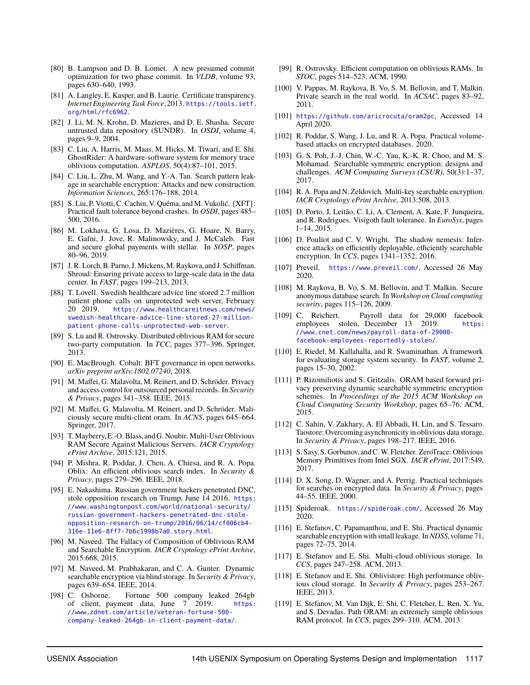- <span id="page-17-25"></span>[80] B. Lampson and D. B. Lomet. A new presumed commit optimization for two phase commit. In *VLDB*, volume 93, pages 630–640, 1993.
- <span id="page-17-21"></span>[81] A. Langley, E. Kasper, and B. Laurie. Certificate transparency. *Internet Engineering Task Force*, 2013. [https://tools.ietf.](https://tools.ietf.org/html/rfc6962) [org/html/rfc6962](https://tools.ietf.org/html/rfc6962).
- <span id="page-17-22"></span>[82] J. Li, M. N. Krohn, D. Mazieres, and D. E. Shasha. Secure untrusted data repository (SUNDR). In *OSDI*, volume 4, pages 9–9, 2004.
- <span id="page-17-34"></span>[83] C. Liu, A. Harris, M. Maas, M. Hicks, M. Tiwari, and E. Shi. GhostRider: A hardware-software system for memory trace oblivious computation. *ASPLOS*, 50(4):87–101, 2015.
- <span id="page-17-11"></span>[84] C. Liu, L. Zhu, M. Wang, and Y.-A. Tan. Search pattern leakage in searchable encryption: Attacks and new construction. *Information Sciences*, 265:176–188, 2014.
- <span id="page-17-36"></span>[85] S. Liu, P. Viotti, C. Cachin, V. Quéma, and M. Vukolić. {XFT}: Practical fault tolerance beyond crashes. In *OSDI*, pages 485– 500, 2016.
- <span id="page-17-20"></span>[86] M. Lokhava, G. Losa, D. Mazières, G. Hoare, N. Barry, E. Gafni, J. Jove, R. Malinowsky, and J. McCaleb. Fast and secure global payments with stellar. In *SOSP*, pages 80–96, 2019.
- <span id="page-17-35"></span>[87] J. R. Lorch, B. Parno, J. Mickens, M. Raykova, and J. Schiffman. Shroud: Ensuring private access to large-scale data in the data center. In *FAST*, pages 199–213, 2013.
- <span id="page-17-0"></span>[88] T. Lovell. Swedish healthcare advice line stored 2.7 million patient phone calls on unprotected web server, February 20 2019. [https://www.healthcareitnews.com/news/](https://www.healthcareitnews.com/news/swedish-healthcare-advice-line-stored-27-million-patient-phone-calls-unprotected-web-server) [swedish-healthcare-advice-line-stored-27-million](https://www.healthcareitnews.com/news/swedish-healthcare-advice-line-stored-27-million-patient-phone-calls-unprotected-web-server)[patient-phone-calls-unprotected-web-server](https://www.healthcareitnews.com/news/swedish-healthcare-advice-line-stored-27-million-patient-phone-calls-unprotected-web-server).
- <span id="page-17-30"></span>[89] S. Lu and R. Ostrovsky. Distributed oblivious RAM for secure two-party computation. In *TCC*, pages 377–396. Springer, 2013.
- <span id="page-17-19"></span>[90] E. MacBrough. Cobalt: BFT governance in open networks. *arXiv preprint arXiv:1802.07240*, 2018.
- <span id="page-17-23"></span>[91] M. Maffei, G. Malavolta, M. Reinert, and D. Schröder. Privacy and access control for outsourced personal records. In *Security & Privacy*, pages 341–358. IEEE, 2015.
- <span id="page-17-24"></span>[92] M. Maffei, G. Malavolta, M. Reinert, and D. Schröder. Maliciously secure multi-client oram. In *ACNS*, pages 645–664. Springer, 2017.
- <span id="page-17-26"></span>[93] T. Mayberry,E.-O. Blass, and G. Noubir. Multi-User Oblivious RAM Secure Against Malicious Servers. *IACR Cryptology ePrint Archive*, 2015:121, 2015.
- <span id="page-17-6"></span>[94] P. Mishra, R. Poddar, J. Chen, A. Chiesa, and R. A. Popa. Oblix: An efficient oblivious search index. In *Security & Privacy*, pages 279–296. IEEE, 2018.
- <span id="page-17-1"></span>[95] E. Nakashima. Russian government hackers penetrated DNC, stole opposition research on Trump, June 14 2016. [https:](https://www.washingtonpost.com/world/national-security/russian-government-hackers-penetrated-dnc-stole-opposition-research-on-trump/2016/06/14/cf006cb4-316e-11e6-8ff7-7b6c1998b7a0_story.html) [//www.washingtonpost.com/world/national-security/](https://www.washingtonpost.com/world/national-security/russian-government-hackers-penetrated-dnc-stole-opposition-research-on-trump/2016/06/14/cf006cb4-316e-11e6-8ff7-7b6c1998b7a0_story.html) [russian-government-hackers-penetrated-dnc-stole](https://www.washingtonpost.com/world/national-security/russian-government-hackers-penetrated-dnc-stole-opposition-research-on-trump/2016/06/14/cf006cb4-316e-11e6-8ff7-7b6c1998b7a0_story.html)[opposition-research-on-trump/2016/06/14/cf006cb4-](https://www.washingtonpost.com/world/national-security/russian-government-hackers-penetrated-dnc-stole-opposition-research-on-trump/2016/06/14/cf006cb4-316e-11e6-8ff7-7b6c1998b7a0_story.html) [316e-11e6-8ff7-7b6c1998b7a0\\_story.html](https://www.washingtonpost.com/world/national-security/russian-government-hackers-penetrated-dnc-stole-opposition-research-on-trump/2016/06/14/cf006cb4-316e-11e6-8ff7-7b6c1998b7a0_story.html).
- <span id="page-17-16"></span>[96] M. Naveed. The Fallacy of Composition of Oblivious RAM and Searchable Encryption. *IACR Cryptology ePrint Archive*, 2015:668, 2015.
- <span id="page-17-7"></span>[97] M. Naveed, M. Prabhakaran, and C. A. Gunter. Dynamic searchable encryption via blind storage. In *Security & Privacy*, pages 639–654. IEEE, 2014.
- <span id="page-17-2"></span>[98] C. Osborne. Fortune 500 company leaked 264gb of client, payment data, June 7 2019. [https:](https://www.zdnet.com/article/veteran-fortune-500-company-leaked-264gb-in-client-payment-data/) [//www.zdnet.com/article/veteran-fortune-500](https://www.zdnet.com/article/veteran-fortune-500-company-leaked-264gb-in-client-payment-data/) [company-leaked-264gb-in-client-payment-data/](https://www.zdnet.com/article/veteran-fortune-500-company-leaked-264gb-in-client-payment-data/).
- <span id="page-17-14"></span>[99] R. Ostrovsky. Efficient computation on oblivious RAMs. In *STOC*, pages 514–523. ACM, 1990.
- <span id="page-17-29"></span>[100] V. Pappas, M. Raykova, B. Vo, S. M. Bellovin, and T. Malkin. Private search in the real world. In *ACSAC*, pages 83–92, 2011.
- <span id="page-17-27"></span>[101] <https://github.com/aricrocuta/oram2pc>, Accessed 14 April 2020.
- <span id="page-17-12"></span>[102] R. Poddar, S. Wang, J. Lu, and R. A. Popa. Practical volumebased attacks on encrypted databases. 2020.
- <span id="page-17-28"></span>[103] G. S. Poh, J.-J. Chin, W.-C. Yau, K.-K. R. Choo, and M. S. Mohamad. Searchable symmetric encryption: designs and challenges. *ACM Computing Surveys (CSUR)*, 50(3):1–37, 2017.
- <span id="page-17-32"></span>[104] R. A. Popa and N. Zeldovich. Multi-key searchable encryption. *IACR Cryptology ePrint Archive*, 2013:508, 2013.
- <span id="page-17-37"></span>[105] D. Porto, J. Leitão, C. Li, A. Clement, A. Kate, F. Junqueira, and R. Rodrigues. Visigoth fault tolerance. In *EuroSys*, pages 1–14, 2015.
- <span id="page-17-13"></span>[106] D. Pouliot and C. V. Wright. The shadow nemesis: Inference attacks on efficiently deployable, efficiently searchable encryption. In *CCS*, pages 1341–1352, 2016.
- <span id="page-17-4"></span>[107] Preveil. <https://www.preveil.com/>, Accessed 26 May 2020.
- <span id="page-17-17"></span>[108] M. Raykova, B. Vo, S. M. Bellovin, and T. Malkin. Secure anonymous database search. In *Workshop on Cloud computing security*, pages 115–126, 2009.
- <span id="page-17-3"></span>[109] C. Reichert. Payroll data for 29,000 facebook employees stolen, December 13 2019. [https:](https://www.cnet.com/news/payroll-data-of-29000-facebook-employees-reportedly-stolen/) [//www.cnet.com/news/payroll-data-of-29000](https://www.cnet.com/news/payroll-data-of-29000-facebook-employees-reportedly-stolen/) [facebook-employees-reportedly-stolen/](https://www.cnet.com/news/payroll-data-of-29000-facebook-employees-reportedly-stolen/).
- <span id="page-17-18"></span>[110] E. Riedel, M. Kallahalla, and R. Swaminathan. A framework for evaluating storage system security. In *FAST*, volume 2, pages 15–30, 2002.
- <span id="page-17-8"></span>[111] P. Rizomiliotis and S. Gritzalis. ORAM based forward privacy preserving dynamic searchable symmetric encryption schemes. In *Proceedings of the 2015 ACM Workshop on Cloud Computing Security Workshop*, pages 65–76. ACM, 2015.
- <span id="page-17-39"></span>[112] C. Sahin, V. Zakhary, A. El Abbadi, H. Lin, and S. Tessaro. Taostore: Overcoming asynchronicity in oblivious data storage. In *Security & Privacy*, pages 198–217. IEEE, 2016.
- <span id="page-17-33"></span>[113] S. Sasy, S. Gorbunov, and C. W. Fletcher. ZeroTrace: Oblivious Memory Primitives from Intel SGX. *IACR ePrint*, 2017:549, 2017.
- <span id="page-17-9"></span>[114] D. X. Song, D. Wagner, and A. Perrig. Practical techniques for searches on encrypted data. In *Security & Privacy*, pages 44–55. IEEE, 2000.
- <span id="page-17-5"></span>[115] Spideroak. <https://spideroak.com/>, Accessed 26 May 2020.
- <span id="page-17-10"></span>[116] E. Stefanov, C. Papamanthou, and E. Shi. Practical dynamic searchable encryption with small leakage. In*NDSS*, volume 71, pages 72–75, 2014.
- <span id="page-17-31"></span>[117] E. Stefanov and E. Shi. Multi-cloud oblivious storage. In *CCS*, pages 247–258. ACM, 2013.
- <span id="page-17-38"></span>[118] E. Stefanov and E. Shi. Oblivistore: High performance oblivious cloud storage. In *Security & Privacy*, pages 253–267. IEEE, 2013.
- <span id="page-17-15"></span>[119] E. Stefanov, M. Van Dijk, E. Shi, C. Fletcher, L. Ren, X. Yu, and S. Devadas. Path ORAM: an extremely simple oblivious RAM protocol. In *CCS*, pages 299–310. ACM, 2013.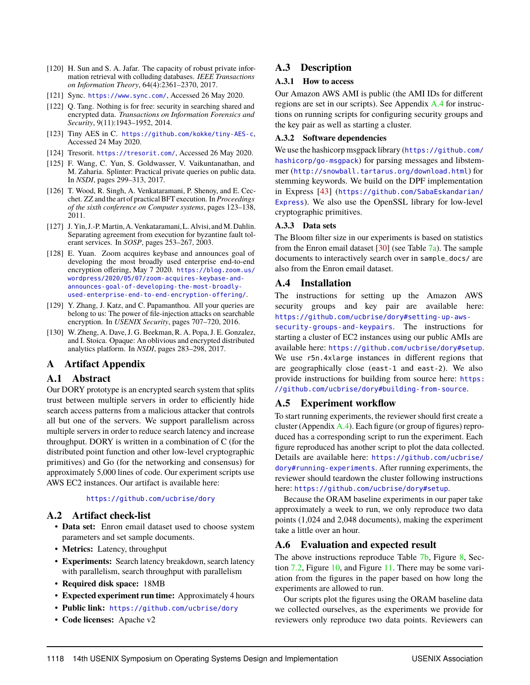- <span id="page-18-10"></span>[120] H. Sun and S. A. Jafar. The capacity of robust private information retrieval with colluding databases. *IEEE Transactions on Information Theory*, 64(4):2361–2370, 2017.
- <span id="page-18-0"></span>[121] Sync. <https://www.sync.com/>, Accessed 26 May 2020.
- <span id="page-18-6"></span>[122] Q. Tang. Nothing is for free: security in searching shared and encrypted data. *Transactions on Information Forensics and Security*, 9(11):1943–1952, 2014.
- <span id="page-18-4"></span>[123] Tiny AES in C. <https://github.com/kokke/tiny-AES-c>, Accessed 24 May 2020.
- <span id="page-18-1"></span>[124] Tresorit. <https://tresorit.com/>, Accessed 26 May 2020.
- <span id="page-18-7"></span>[125] F. Wang, C. Yun, S. Goldwasser, V. Vaikuntanathan, and M. Zaharia. Splinter: Practical private queries on public data. In *NSDI*, pages 299–313, 2017.
- <span id="page-18-9"></span>[126] T. Wood, R. Singh, A. Venkataramani, P. Shenoy, and E. Cecchet. ZZ and the art of practical BFT execution. In *Proceedings of the sixth conference on Computer systems*, pages 123–138, 2011.
- <span id="page-18-8"></span>[127] J. Yin, J.-P. Martin, A. Venkataramani, L. Alvisi, and M. Dahlin. Separating agreement from execution for byzantine fault tolerant services. In *SOSP*, pages 253–267, 2003.
- <span id="page-18-3"></span>[128] E. Yuan. Zoom acquires keybase and announces goal of developing the most broadly used enterprise end-to-end encryption offering, May 7 2020. [https://blog.zoom.us/](https://blog.zoom.us/wordpress/2020/05/07/zoom-acquires-keybase-and-announces-goal-of-developing-the-most-broadly-used-enterprise-end-to-end-encryption-offering/) [wordpress/2020/05/07/zoom-acquires-keybase-and](https://blog.zoom.us/wordpress/2020/05/07/zoom-acquires-keybase-and-announces-goal-of-developing-the-most-broadly-used-enterprise-end-to-end-encryption-offering/)[announces-goal-of-developing-the-most-broadly](https://blog.zoom.us/wordpress/2020/05/07/zoom-acquires-keybase-and-announces-goal-of-developing-the-most-broadly-used-enterprise-end-to-end-encryption-offering/)[used-enterprise-end-to-end-encryption-offering/](https://blog.zoom.us/wordpress/2020/05/07/zoom-acquires-keybase-and-announces-goal-of-developing-the-most-broadly-used-enterprise-end-to-end-encryption-offering/).
- <span id="page-18-2"></span>[129] Y. Zhang, J. Katz, and C. Papamanthou. All your queries are belong to us: The power of file-injection attacks on searchable encryption. In *USENIX Security*, pages 707–720, 2016.
- <span id="page-18-11"></span>[130] W. Zheng, A. Dave, J. G. Beekman, R. A. Popa, J. E. Gonzalez, and I. Stoica. Opaque: An oblivious and encrypted distributed analytics platform. In *NSDI*, pages 283–298, 2017.

## <span id="page-18-5"></span>**A Artifact Appendix**

## **A.1 Abstract**

Our DORY prototype is an encrypted search system that splits trust between multiple servers in order to efficiently hide search access patterns from a malicious attacker that controls all but one of the servers. We support parallelism across multiple servers in order to reduce search latency and increase throughput. DORY is written in a combination of C (for the distributed point function and other low-level cryptographic primitives) and Go (for the networking and consensus) for approximately 5,000 lines of code. Our experiment scripts use AWS EC2 instances. Our artifact is available here:

#### <https://github.com/ucbrise/dory>

## **A.2 Artifact check-list**

- **Data set:** Enron email dataset used to choose system parameters and set sample documents.
- **Metrics:** Latency, throughput
- **Experiments:** Search latency breakdown, search latency with parallelism, search throughput with parallelism
- **Required disk space:** 18MB
- **Expected experiment run time:** Approximately 4 hours
- **Public link:** <https://github.com/ucbrise/dory>
- **Code licenses:** Apache v2

## **A.3 Description**

#### **A.3.1 How to access**

Our Amazon AWS AMI is public (the AMI IDs for different regions are set in our scripts). See Appendix [A.4](#page-18-12) for instructions on running scripts for configuring security groups and the key pair as well as starting a cluster.

#### **A.3.2 Software dependencies**

We use the hashicorp msgpack library ([https://github.com/](https://github.com/hashicorp/go-msgpack) [hashicorp/go-msgpack](https://github.com/hashicorp/go-msgpack)) for parsing messages and libstemmer (<http://snowball.tartarus.org/download.html>) for stemming keywords. We build on the DPF implementation in Express [\[43\]](#page-16-26) ([https://github.com/SabaEskandarian/](https://github.com/SabaEskandarian/Express) [Express](https://github.com/SabaEskandarian/Express)). We also use the OpenSSL library for low-level cryptographic primitives.

#### **A.3.3 Data sets**

The Bloom filter size in our experiments is based on statistics from the Enron email dataset  $[30]$  (see Table  $7a$ ). The sample documents to interactively search over in sample\_docs/ are also from the Enron email dataset.

## <span id="page-18-12"></span>**A.4 Installation**

The instructions for setting up the Amazon AWS security groups and key pair are available here: [https://github.com/ucbrise/dory#setting-up-aws-](https://github.com/ucbrise/dory#setting-up-aws-security-groups-and-keypairs)

[security-groups-and-keypairs](https://github.com/ucbrise/dory#setting-up-aws-security-groups-and-keypairs). The instructions for starting a cluster of EC2 instances using our public AMIs are available here: <https://github.com/ucbrise/dory#setup>. We use r5n.4xlarge instances in different regions that are geographically close (east-1 and east-2). We also provide instructions for building from source here: [https:](https://github.com/ucbrise/dory#building-from-source) [//github.com/ucbrise/dory#building-from-source](https://github.com/ucbrise/dory#building-from-source).

## **A.5 Experiment workflow**

To start running experiments, the reviewer should first create a cluster (Appendix  $A.4$ ). Each figure (or group of figures) reproduced has a corresponding script to run the experiment. Each figure reproduced has another script to plot the data collected. Details are available here: [https://github.com/ucbrise/](https://github.com/ucbrise/dory#running-experiments) [dory#running-experiments](https://github.com/ucbrise/dory#running-experiments). After running experiments, the reviewer should teardown the cluster following instructions here: <https://github.com/ucbrise/dory#setup>.

Because the ORAM baseline experiments in our paper take approximately a week to run, we only reproduce two data points (1,024 and 2,048 documents), making the experiment take a little over an hour.

## **A.6 Evaluation and expected result**

The above instructions reproduce Table [7b,](#page-11-1) Figure [8,](#page-12-2) Section [7.2,](#page-12-2) Figure [10,](#page-13-3) and Figure [11.](#page-13-4) There may be some variation from the figures in the paper based on how long the experiments are allowed to run.

Our scripts plot the figures using the ORAM baseline data we collected ourselves, as the experiments we provide for reviewers only reproduce two data points. Reviewers can